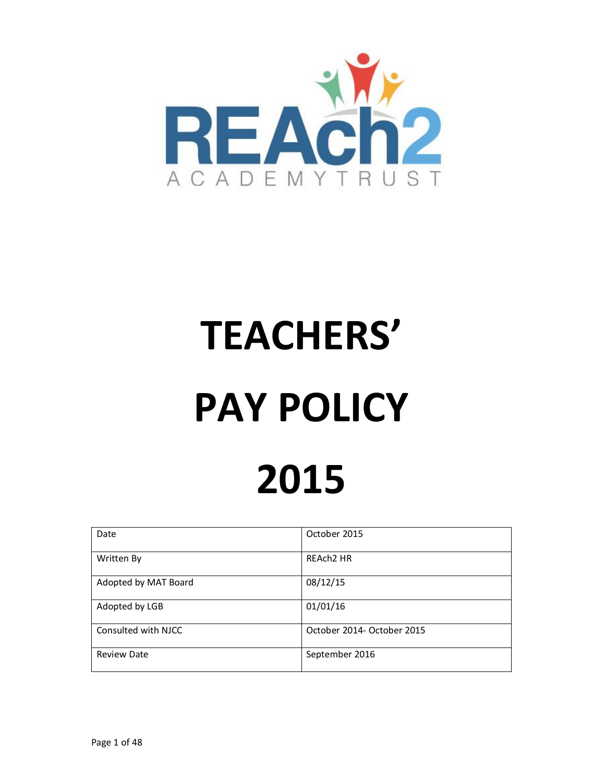

# **TEACHERS' PAY POLICY 2015**

| Date                 | October 2015               |
|----------------------|----------------------------|
| Written By           | <b>REAch2 HR</b>           |
| Adopted by MAT Board | 08/12/15                   |
| Adopted by LGB       | 01/01/16                   |
| Consulted with NJCC  | October 2014- October 2015 |
| <b>Review Date</b>   | September 2016             |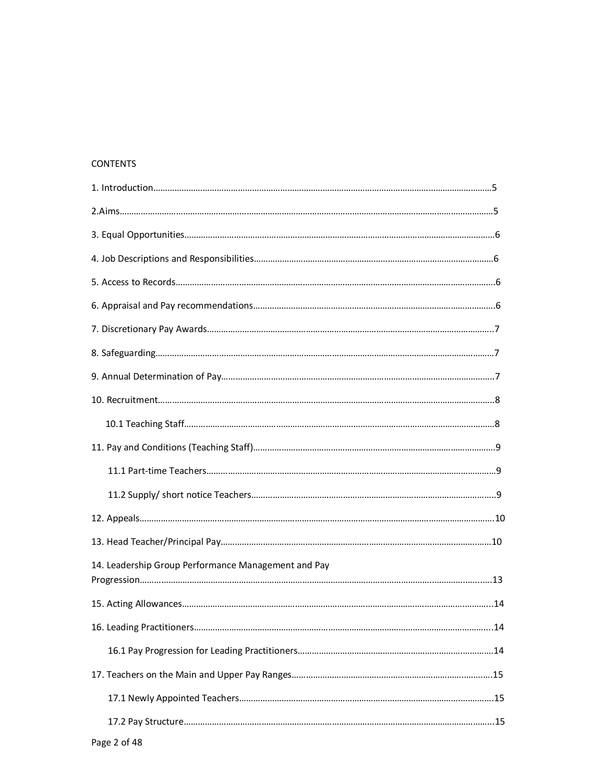#### **CONTENTS**

| 14. Leadership Group Performance Management and Pay |  |
|-----------------------------------------------------|--|
|                                                     |  |
|                                                     |  |
|                                                     |  |
|                                                     |  |
|                                                     |  |
|                                                     |  |
|                                                     |  |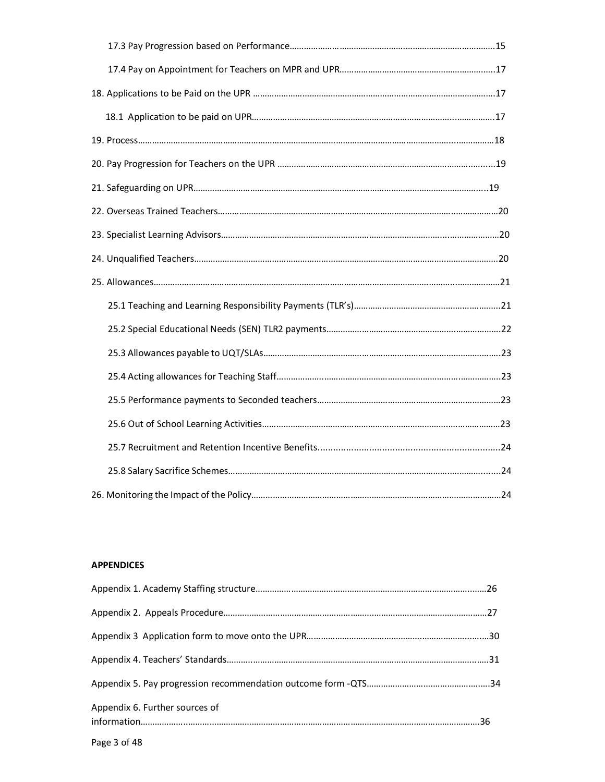#### **APPENDICES**

| Appendix 6. Further sources of |  |
|--------------------------------|--|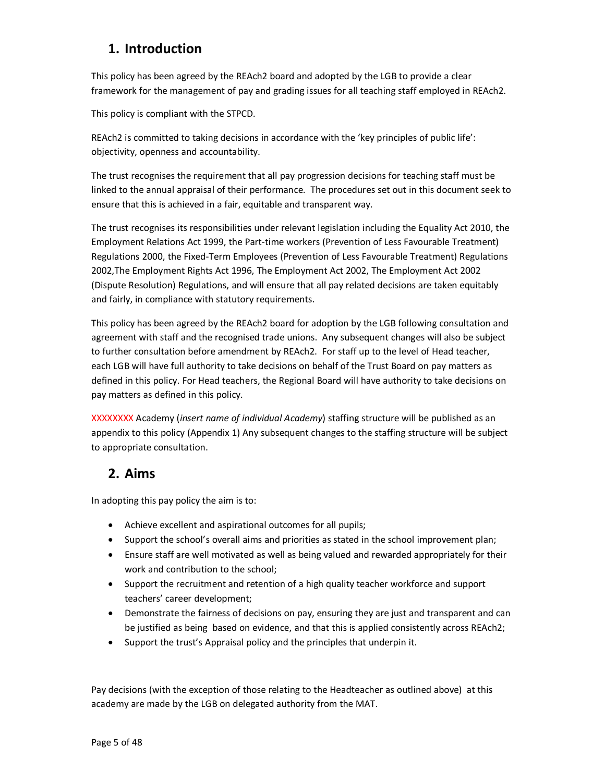## **1. Introduction**

This policy has been agreed by the REAch2 board and adopted by the LGB to provide a clear framework for the management of pay and grading issues for all teaching staff employed in REAch2.

This policy is compliant with the STPCD.

REAch2 is committed to taking decisions in accordance with the 'key principles of public life': objectivity, openness and accountability.

The trust recognises the requirement that all pay progression decisions for teaching staff must be linked to the annual appraisal of their performance. The procedures set out in this document seek to ensure that this is achieved in a fair, equitable and transparent way.

The trust recognises its responsibilities under relevant legislation including the Equality Act 2010, the Employment Relations Act 1999, the Part-time workers (Prevention of Less Favourable Treatment) Regulations 2000, the Fixed-Term Employees (Prevention of Less Favourable Treatment) Regulations 2002,The Employment Rights Act 1996, The Employment Act 2002, The Employment Act 2002 (Dispute Resolution) Regulations, and will ensure that all pay related decisions are taken equitably and fairly, in compliance with statutory requirements.

This policy has been agreed by the REAch2 board for adoption by the LGB following consultation and agreement with staff and the recognised trade unions. Any subsequent changes will also be subject to further consultation before amendment by REAch2. For staff up to the level of Head teacher, each LGB will have full authority to take decisions on behalf of the Trust Board on pay matters as defined in this policy. For Head teachers, the Regional Board will have authority to take decisions on pay matters as defined in this policy.

XXXXXXXX Academy (*insert name of individual Academy*) staffing structure will be published as an appendix to this policy (Appendix 1) Any subsequent changes to the staffing structure will be subject to appropriate consultation.

## **2. Aims**

In adopting this pay policy the aim is to:

- · Achieve excellent and aspirational outcomes for all pupils;
- · Support the school's overall aims and priorities as stated in the school improvement plan;
- · Ensure staff are well motivated as well as being valued and rewarded appropriately for their work and contribution to the school;
- · Support the recruitment and retention of a high quality teacher workforce and support teachers' career development;
- · Demonstrate the fairness of decisions on pay, ensuring they are just and transparent and can be justified as being based on evidence, and that this is applied consistently across REAch2;
- · Support the trust's Appraisal policy and the principles that underpin it.

Pay decisions (with the exception of those relating to the Headteacher as outlined above) at this academy are made by the LGB on delegated authority from the MAT.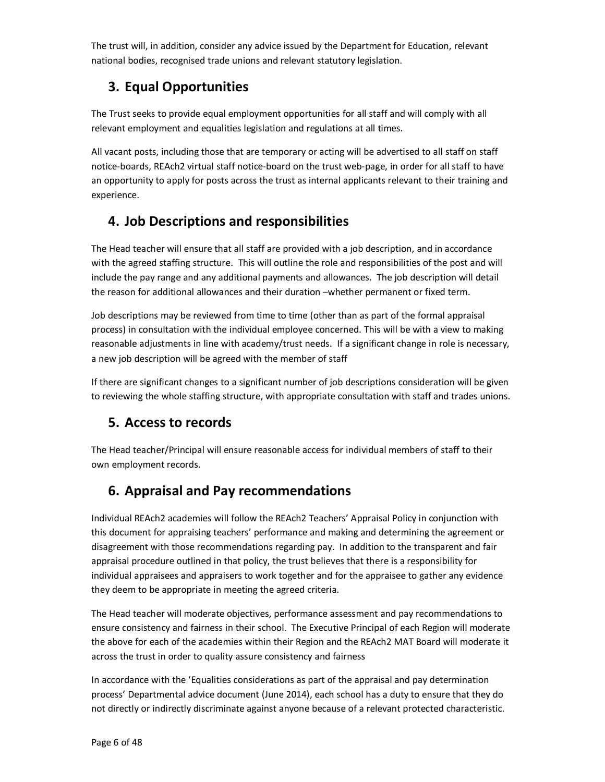The trust will, in addition, consider any advice issued by the Department for Education, relevant national bodies, recognised trade unions and relevant statutory legislation.

## **3. Equal Opportunities**

The Trust seeks to provide equal employment opportunities for all staff and will comply with all relevant employment and equalities legislation and regulations at all times.

All vacant posts, including those that are temporary or acting will be advertised to all staff on staff notice-boards, REAch2 virtual staff notice-board on the trust web-page, in order for all staff to have an opportunity to apply for posts across the trust as internal applicants relevant to their training and experience.

## **4. Job Descriptions and responsibilities**

The Head teacher will ensure that all staff are provided with a job description, and in accordance with the agreed staffing structure. This will outline the role and responsibilities of the post and will include the pay range and any additional payments and allowances. The job description will detail the reason for additional allowances and their duration –whether permanent or fixed term.

Job descriptions may be reviewed from time to time (other than as part of the formal appraisal process) in consultation with the individual employee concerned. This will be with a view to making reasonable adjustments in line with academy/trust needs. If a significant change in role is necessary, a new job description will be agreed with the member of staff

If there are significant changes to a significant number of job descriptions consideration will be given to reviewing the whole staffing structure, with appropriate consultation with staff and trades unions.

## **5. Access to records**

The Head teacher/Principal will ensure reasonable access for individual members of staff to their own employment records.

## **6. Appraisal and Pay recommendations**

Individual REAch2 academies will follow the REAch2 Teachers' Appraisal Policy in conjunction with this document for appraising teachers' performance and making and determining the agreement or disagreement with those recommendations regarding pay. In addition to the transparent and fair appraisal procedure outlined in that policy, the trust believes that there is a responsibility for individual appraisees and appraisers to work together and for the appraisee to gather any evidence they deem to be appropriate in meeting the agreed criteria.

The Head teacher will moderate objectives, performance assessment and pay recommendations to ensure consistency and fairness in their school. The Executive Principal of each Region will moderate the above for each of the academies within their Region and the REAch2 MAT Board will moderate it across the trust in order to quality assure consistency and fairness

In accordance with the 'Equalities considerations as part of the appraisal and pay determination process' Departmental advice document (June 2014), each school has a duty to ensure that they do not directly or indirectly discriminate against anyone because of a relevant protected characteristic.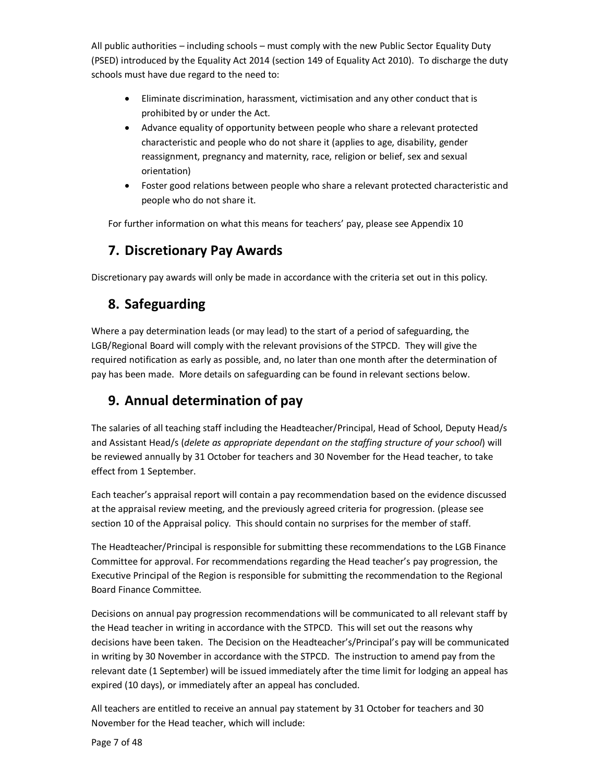All public authorities – including schools – must comply with the new Public Sector Equality Duty (PSED) introduced by the Equality Act 2014 (section 149 of Equality Act 2010). To discharge the duty schools must have due regard to the need to:

- · Eliminate discrimination, harassment, victimisation and any other conduct that is prohibited by or under the Act.
- · Advance equality of opportunity between people who share a relevant protected characteristic and people who do not share it (applies to age, disability, gender reassignment, pregnancy and maternity, race, religion or belief, sex and sexual orientation)
- · Foster good relations between people who share a relevant protected characteristic and people who do not share it.

For further information on what this means for teachers' pay, please see Appendix 10

## **7. Discretionary Pay Awards**

Discretionary pay awards will only be made in accordance with the criteria set out in this policy.

## **8. Safeguarding**

Where a pay determination leads (or may lead) to the start of a period of safeguarding, the LGB/Regional Board will comply with the relevant provisions of the STPCD. They will give the required notification as early as possible, and, no later than one month after the determination of pay has been made. More details on safeguarding can be found in relevant sections below.

## **9. Annual determination of pay**

The salaries of all teaching staff including the Headteacher/Principal, Head of School, Deputy Head/s and Assistant Head/s (*delete as appropriate dependant on the staffing structure of your school*) will be reviewed annually by 31 October for teachers and 30 November for the Head teacher, to take effect from 1 September.

Each teacher's appraisal report will contain a pay recommendation based on the evidence discussed at the appraisal review meeting, and the previously agreed criteria for progression. (please see section 10 of the Appraisal policy. This should contain no surprises for the member of staff.

The Headteacher/Principal is responsible for submitting these recommendations to the LGB Finance Committee for approval. For recommendations regarding the Head teacher's pay progression, the Executive Principal of the Region is responsible for submitting the recommendation to the Regional Board Finance Committee.

Decisions on annual pay progression recommendations will be communicated to all relevant staff by the Head teacher in writing in accordance with the STPCD. This will set out the reasons why decisions have been taken. The Decision on the Headteacher's/Principal's pay will be communicated in writing by 30 November in accordance with the STPCD. The instruction to amend pay from the relevant date (1 September) will be issued immediately after the time limit for lodging an appeal has expired (10 days), or immediately after an appeal has concluded.

All teachers are entitled to receive an annual pay statement by 31 October for teachers and 30 November for the Head teacher, which will include: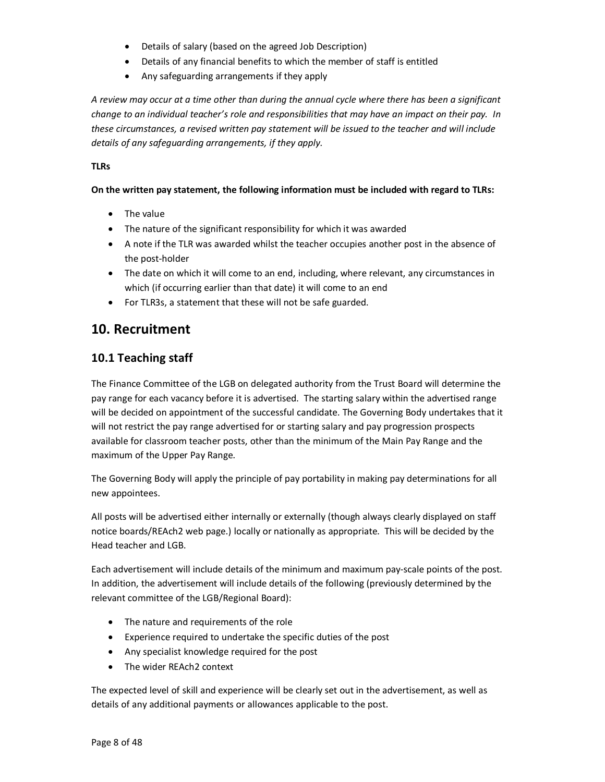- · Details of salary (based on the agreed Job Description)
- · Details of any financial benefits to which the member of staff is entitled
- · Any safeguarding arrangements if they apply

*A review may occur at a time other than during the annual cycle where there has been a significant change to an individual teacher's role and responsibilities that may have an impact on their pay. In these circumstances, a revised written pay statement will be issued to the teacher and will include details of any safeguarding arrangements, if they apply.*

#### **TLRs**

#### **On the written pay statement, the following information must be included with regard to TLRs:**

- · The value
- · The nature of the significant responsibility for which it was awarded
- · A note if the TLR was awarded whilst the teacher occupies another post in the absence of the post-holder
- · The date on which it will come to an end, including, where relevant, any circumstances in which (if occurring earlier than that date) it will come to an end
- · For TLR3s, a statement that these will not be safe guarded.

## **10. Recruitment**

## **10.1 Teaching staff**

The Finance Committee of the LGB on delegated authority from the Trust Board will determine the pay range for each vacancy before it is advertised. The starting salary within the advertised range will be decided on appointment of the successful candidate. The Governing Body undertakes that it will not restrict the pay range advertised for or starting salary and pay progression prospects available for classroom teacher posts, other than the minimum of the Main Pay Range and the maximum of the Upper Pay Range.

The Governing Body will apply the principle of pay portability in making pay determinations for all new appointees.

All posts will be advertised either internally or externally (though always clearly displayed on staff notice boards/REAch2 web page.) locally or nationally as appropriate. This will be decided by the Head teacher and LGB.

Each advertisement will include details of the minimum and maximum pay-scale points of the post. In addition, the advertisement will include details of the following (previously determined by the relevant committee of the LGB/Regional Board):

- · The nature and requirements of the role
- · Experience required to undertake the specific duties of the post
- · Any specialist knowledge required for the post
- · The wider REAch2 context

The expected level of skill and experience will be clearly set out in the advertisement, as well as details of any additional payments or allowances applicable to the post.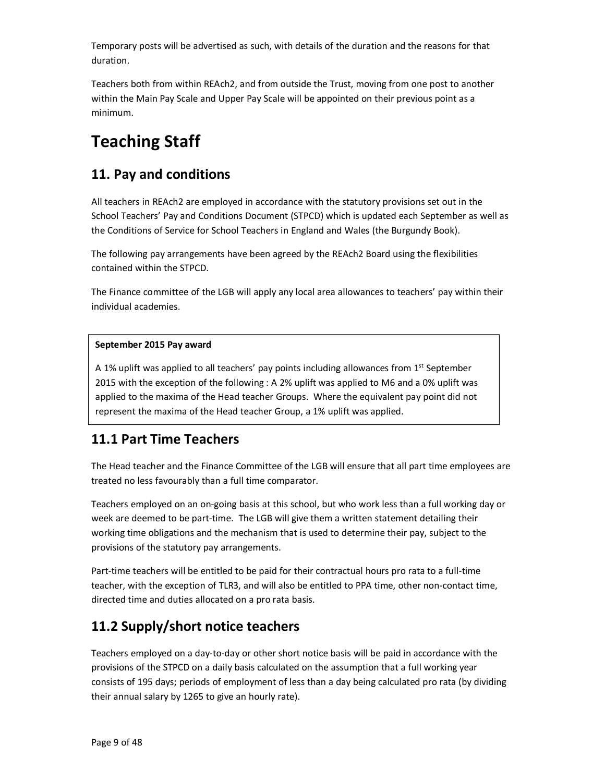Temporary posts will be advertised as such, with details of the duration and the reasons for that duration.

Teachers both from within REAch2, and from outside the Trust, moving from one post to another within the Main Pay Scale and Upper Pay Scale will be appointed on their previous point as a minimum.

# **Teaching Staff**

## **11. Pay and conditions**

All teachers in REAch2 are employed in accordance with the statutory provisions set out in the School Teachers' Pay and Conditions Document (STPCD) which is updated each September as well as the Conditions of Service for School Teachers in England and Wales (the Burgundy Book).

The following pay arrangements have been agreed by the REAch2 Board using the flexibilities contained within the STPCD.

The Finance committee of the LGB will apply any local area allowances to teachers' pay within their individual academies.

#### **September 2015 Pay award**

A 1% uplift was applied to all teachers' pay points including allowances from  $1<sup>st</sup>$  September 2015 with the exception of the following : A 2% uplift was applied to M6 and a 0% uplift was applied to the maxima of the Head teacher Groups. Where the equivalent pay point did not represent the maxima of the Head teacher Group, a 1% uplift was applied.

## **11.1 Part Time Teachers**

The Head teacher and the Finance Committee of the LGB will ensure that all part time employees are treated no less favourably than a full time comparator.

Teachers employed on an on-going basis at this school, but who work less than a full working day or week are deemed to be part-time. The LGB will give them a written statement detailing their working time obligations and the mechanism that is used to determine their pay, subject to the provisions of the statutory pay arrangements.

Part-time teachers will be entitled to be paid for their contractual hours pro rata to a full-time teacher, with the exception of TLR3, and will also be entitled to PPA time, other non-contact time, directed time and duties allocated on a pro rata basis.

## **11.2 Supply/short notice teachers**

Teachers employed on a day-to-day or other short notice basis will be paid in accordance with the provisions of the STPCD on a daily basis calculated on the assumption that a full working year consists of 195 days; periods of employment of less than a day being calculated pro rata (by dividing their annual salary by 1265 to give an hourly rate).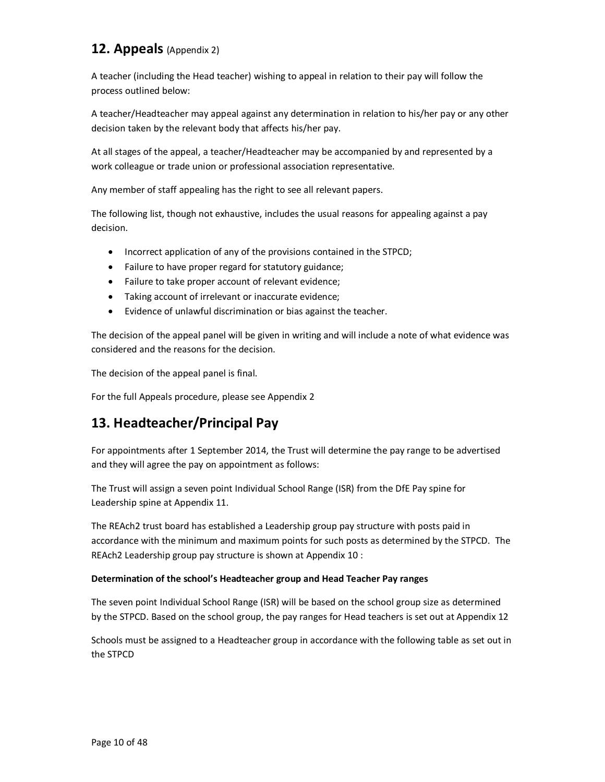## **12. Appeals** (Appendix 2)

A teacher (including the Head teacher) wishing to appeal in relation to their pay will follow the process outlined below:

A teacher/Headteacher may appeal against any determination in relation to his/her pay or any other decision taken by the relevant body that affects his/her pay.

At all stages of the appeal, a teacher/Headteacher may be accompanied by and represented by a work colleague or trade union or professional association representative.

Any member of staff appealing has the right to see all relevant papers.

The following list, though not exhaustive, includes the usual reasons for appealing against a pay decision.

- · Incorrect application of any of the provisions contained in the STPCD;
- Failure to have proper regard for statutory guidance;
- · Failure to take proper account of relevant evidence;
- · Taking account of irrelevant or inaccurate evidence;
- · Evidence of unlawful discrimination or bias against the teacher.

The decision of the appeal panel will be given in writing and will include a note of what evidence was considered and the reasons for the decision.

The decision of the appeal panel is final.

For the full Appeals procedure, please see Appendix 2

## **13. Headteacher/Principal Pay**

For appointments after 1 September 2014, the Trust will determine the pay range to be advertised and they will agree the pay on appointment as follows:

The Trust will assign a seven point Individual School Range (ISR) from the DfE Pay spine for Leadership spine at Appendix 11.

The REAch2 trust board has established a Leadership group pay structure with posts paid in accordance with the minimum and maximum points for such posts as determined by the STPCD. The REAch2 Leadership group pay structure is shown at Appendix 10 :

#### **Determination of the school's Headteacher group and Head Teacher Pay ranges**

The seven point Individual School Range (ISR) will be based on the school group size as determined by the STPCD. Based on the school group, the pay ranges for Head teachers is set out at Appendix 12

Schools must be assigned to a Headteacher group in accordance with the following table as set out in the STPCD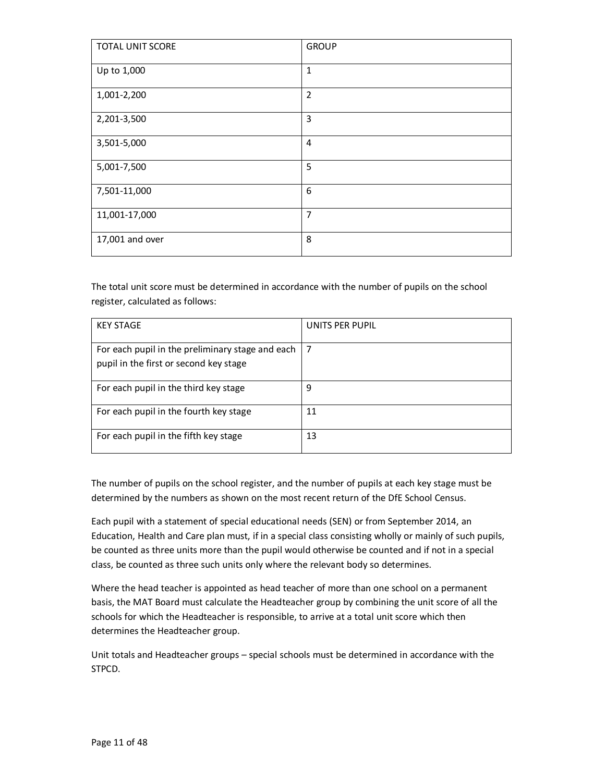| TOTAL UNIT SCORE | <b>GROUP</b>   |
|------------------|----------------|
| Up to 1,000      | $\mathbf{1}$   |
| 1,001-2,200      | $\overline{2}$ |
| 2,201-3,500      | $\overline{3}$ |
| 3,501-5,000      | $\overline{4}$ |
| 5,001-7,500      | 5              |
| 7,501-11,000     | 6              |
| 11,001-17,000    | $\overline{7}$ |
| 17,001 and over  | 8              |

The total unit score must be determined in accordance with the number of pupils on the school register, calculated as follows:

| <b>KEY STAGE</b>                                                                           | UNITS PER PUPIL |
|--------------------------------------------------------------------------------------------|-----------------|
| For each pupil in the preliminary stage and each<br>pupil in the first or second key stage | l 7             |
| For each pupil in the third key stage                                                      | 9               |
| For each pupil in the fourth key stage                                                     | 11              |
| For each pupil in the fifth key stage                                                      | 13              |

The number of pupils on the school register, and the number of pupils at each key stage must be determined by the numbers as shown on the most recent return of the DfE School Census.

Each pupil with a statement of special educational needs (SEN) or from September 2014, an Education, Health and Care plan must, if in a special class consisting wholly or mainly of such pupils, be counted as three units more than the pupil would otherwise be counted and if not in a special class, be counted as three such units only where the relevant body so determines.

Where the head teacher is appointed as head teacher of more than one school on a permanent basis, the MAT Board must calculate the Headteacher group by combining the unit score of all the schools for which the Headteacher is responsible, to arrive at a total unit score which then determines the Headteacher group.

Unit totals and Headteacher groups – special schools must be determined in accordance with the STPCD.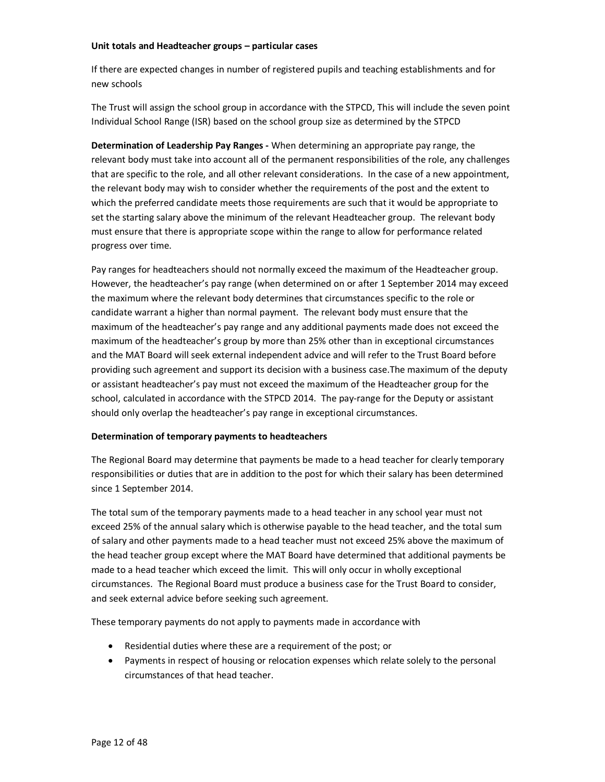#### **Unit totals and Headteacher groups – particular cases**

If there are expected changes in number of registered pupils and teaching establishments and for new schools

The Trust will assign the school group in accordance with the STPCD, This will include the seven point Individual School Range (ISR) based on the school group size as determined by the STPCD

**Determination of Leadership Pay Ranges -** When determining an appropriate pay range, the relevant body must take into account all of the permanent responsibilities of the role, any challenges that are specific to the role, and all other relevant considerations. In the case of a new appointment, the relevant body may wish to consider whether the requirements of the post and the extent to which the preferred candidate meets those requirements are such that it would be appropriate to set the starting salary above the minimum of the relevant Headteacher group. The relevant body must ensure that there is appropriate scope within the range to allow for performance related progress over time.

Pay ranges for headteachers should not normally exceed the maximum of the Headteacher group. However, the headteacher's pay range (when determined on or after 1 September 2014 may exceed the maximum where the relevant body determines that circumstances specific to the role or candidate warrant a higher than normal payment. The relevant body must ensure that the maximum of the headteacher's pay range and any additional payments made does not exceed the maximum of the headteacher's group by more than 25% other than in exceptional circumstances and the MAT Board will seek external independent advice and will refer to the Trust Board before providing such agreement and support its decision with a business case.The maximum of the deputy or assistant headteacher's pay must not exceed the maximum of the Headteacher group for the school, calculated in accordance with the STPCD 2014. The pay-range for the Deputy or assistant should only overlap the headteacher's pay range in exceptional circumstances.

#### **Determination of temporary payments to headteachers**

The Regional Board may determine that payments be made to a head teacher for clearly temporary responsibilities or duties that are in addition to the post for which their salary has been determined since 1 September 2014.

The total sum of the temporary payments made to a head teacher in any school year must not exceed 25% of the annual salary which is otherwise payable to the head teacher, and the total sum of salary and other payments made to a head teacher must not exceed 25% above the maximum of the head teacher group except where the MAT Board have determined that additional payments be made to a head teacher which exceed the limit. This will only occur in wholly exceptional circumstances. The Regional Board must produce a business case for the Trust Board to consider, and seek external advice before seeking such agreement.

These temporary payments do not apply to payments made in accordance with

- · Residential duties where these are a requirement of the post; or
- · Payments in respect of housing or relocation expenses which relate solely to the personal circumstances of that head teacher.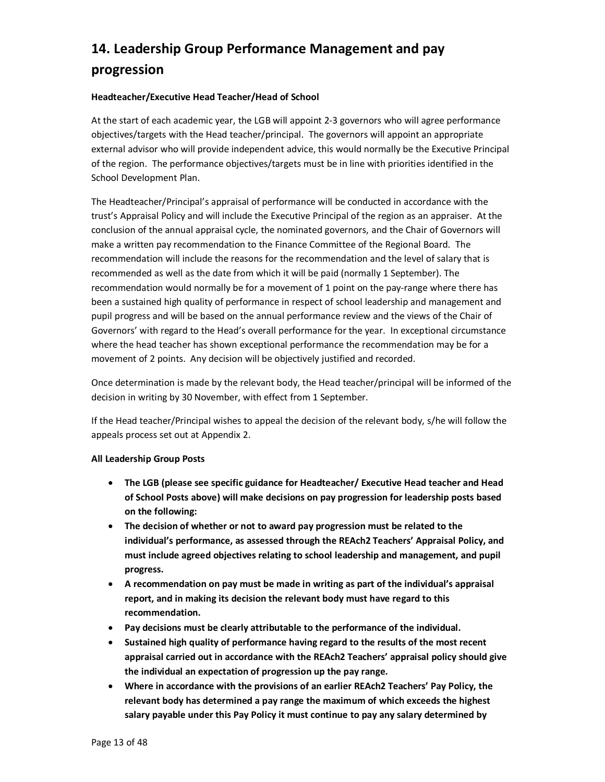# **14. Leadership Group Performance Management and pay progression**

#### **Headteacher/Executive Head Teacher/Head of School**

At the start of each academic year, the LGB will appoint 2-3 governors who will agree performance objectives/targets with the Head teacher/principal. The governors will appoint an appropriate external advisor who will provide independent advice, this would normally be the Executive Principal of the region. The performance objectives/targets must be in line with priorities identified in the School Development Plan.

The Headteacher/Principal's appraisal of performance will be conducted in accordance with the trust's Appraisal Policy and will include the Executive Principal of the region as an appraiser. At the conclusion of the annual appraisal cycle, the nominated governors, and the Chair of Governors will make a written pay recommendation to the Finance Committee of the Regional Board. The recommendation will include the reasons for the recommendation and the level of salary that is recommended as well as the date from which it will be paid (normally 1 September). The recommendation would normally be for a movement of 1 point on the pay-range where there has been a sustained high quality of performance in respect of school leadership and management and pupil progress and will be based on the annual performance review and the views of the Chair of Governors' with regard to the Head's overall performance for the year. In exceptional circumstance where the head teacher has shown exceptional performance the recommendation may be for a movement of 2 points. Any decision will be objectively justified and recorded.

Once determination is made by the relevant body, the Head teacher/principal will be informed of the decision in writing by 30 November, with effect from 1 September.

If the Head teacher/Principal wishes to appeal the decision of the relevant body, s/he will follow the appeals process set out at Appendix 2.

#### **All Leadership Group Posts**

- · **The LGB (please see specific guidance for Headteacher/ Executive Head teacher and Head of School Posts above) will make decisions on pay progression for leadership posts based on the following:**
- · **The decision of whether or not to award pay progression must be related to the individual's performance, as assessed through the REAch2 Teachers' Appraisal Policy, and must include agreed objectives relating to school leadership and management, and pupil progress.**
- · **A recommendation on pay must be made in writing as part of the individual's appraisal report, and in making its decision the relevant body must have regard to this recommendation.**
- · **Pay decisions must be clearly attributable to the performance of the individual.**
- · **Sustained high quality of performance having regard to the results of the most recent appraisal carried out in accordance with the REAch2 Teachers' appraisal policy should give the individual an expectation of progression up the pay range.**
- · **Where in accordance with the provisions of an earlier REAch2 Teachers' Pay Policy, the relevant body has determined a pay range the maximum of which exceeds the highest salary payable under this Pay Policy it must continue to pay any salary determined by**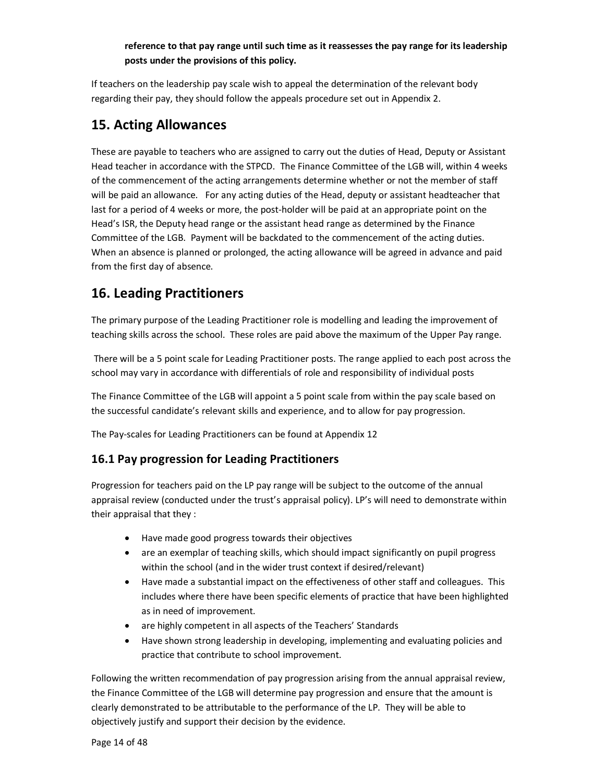#### **reference to that pay range until such time as it reassesses the pay range for its leadership posts under the provisions of this policy.**

If teachers on the leadership pay scale wish to appeal the determination of the relevant body regarding their pay, they should follow the appeals procedure set out in Appendix 2.

## **15. Acting Allowances**

These are payable to teachers who are assigned to carry out the duties of Head, Deputy or Assistant Head teacher in accordance with the STPCD. The Finance Committee of the LGB will, within 4 weeks of the commencement of the acting arrangements determine whether or not the member of staff will be paid an allowance. For any acting duties of the Head, deputy or assistant headteacher that last for a period of 4 weeks or more, the post-holder will be paid at an appropriate point on the Head's ISR, the Deputy head range or the assistant head range as determined by the Finance Committee of the LGB. Payment will be backdated to the commencement of the acting duties. When an absence is planned or prolonged, the acting allowance will be agreed in advance and paid from the first day of absence.

## **16. Leading Practitioners**

The primary purpose of the Leading Practitioner role is modelling and leading the improvement of teaching skills across the school. These roles are paid above the maximum of the Upper Pay range.

There will be a 5 point scale for Leading Practitioner posts. The range applied to each post across the school may vary in accordance with differentials of role and responsibility of individual posts

The Finance Committee of the LGB will appoint a 5 point scale from within the pay scale based on the successful candidate's relevant skills and experience, and to allow for pay progression.

The Pay-scales for Leading Practitioners can be found at Appendix 12

## **16.1 Pay progression for Leading Practitioners**

Progression for teachers paid on the LP pay range will be subject to the outcome of the annual appraisal review (conducted under the trust's appraisal policy). LP's will need to demonstrate within their appraisal that they :

- · Have made good progress towards their objectives
- · are an exemplar of teaching skills, which should impact significantly on pupil progress within the school (and in the wider trust context if desired/relevant)
- · Have made a substantial impact on the effectiveness of other staff and colleagues. This includes where there have been specific elements of practice that have been highlighted as in need of improvement.
- · are highly competent in all aspects of the Teachers' Standards
- · Have shown strong leadership in developing, implementing and evaluating policies and practice that contribute to school improvement.

Following the written recommendation of pay progression arising from the annual appraisal review, the Finance Committee of the LGB will determine pay progression and ensure that the amount is clearly demonstrated to be attributable to the performance of the LP. They will be able to objectively justify and support their decision by the evidence.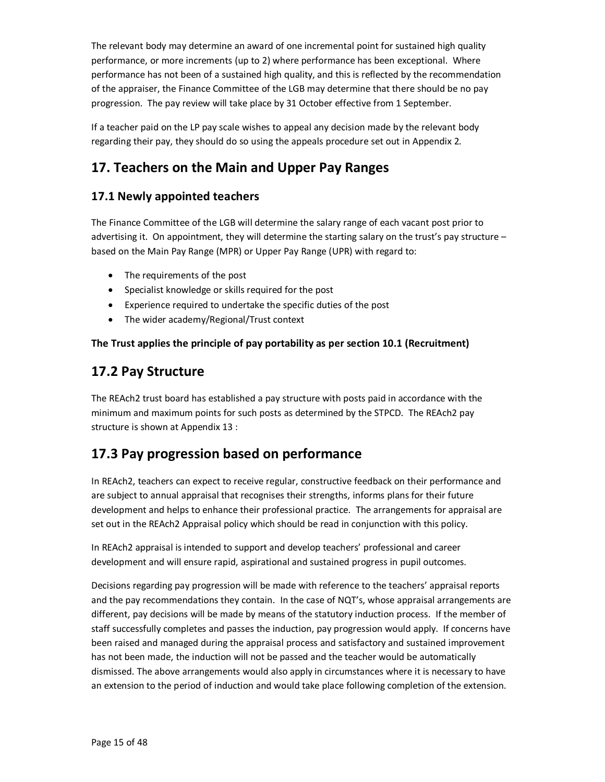The relevant body may determine an award of one incremental point for sustained high quality performance, or more increments (up to 2) where performance has been exceptional. Where performance has not been of a sustained high quality, and this is reflected by the recommendation of the appraiser, the Finance Committee of the LGB may determine that there should be no pay progression. The pay review will take place by 31 October effective from 1 September.

If a teacher paid on the LP pay scale wishes to appeal any decision made by the relevant body regarding their pay, they should do so using the appeals procedure set out in Appendix 2.

## **17. Teachers on the Main and Upper Pay Ranges**

## **17.1 Newly appointed teachers**

The Finance Committee of the LGB will determine the salary range of each vacant post prior to advertising it. On appointment, they will determine the starting salary on the trust's pay structure – based on the Main Pay Range (MPR) or Upper Pay Range (UPR) with regard to:

- · The requirements of the post
- · Specialist knowledge or skills required for the post
- · Experience required to undertake the specific duties of the post
- · The wider academy/Regional/Trust context

#### **The Trust applies the principle of pay portability as per section 10.1 (Recruitment)**

## **17.2 Pay Structure**

The REAch2 trust board has established a pay structure with posts paid in accordance with the minimum and maximum points for such posts as determined by the STPCD. The REAch2 pay structure is shown at Appendix 13 :

## **17.3 Pay progression based on performance**

In REAch2, teachers can expect to receive regular, constructive feedback on their performance and are subject to annual appraisal that recognises their strengths, informs plans for their future development and helps to enhance their professional practice. The arrangements for appraisal are set out in the REAch2 Appraisal policy which should be read in conjunction with this policy.

In REAch2 appraisal is intended to support and develop teachers' professional and career development and will ensure rapid, aspirational and sustained progress in pupil outcomes.

Decisions regarding pay progression will be made with reference to the teachers' appraisal reports and the pay recommendations they contain. In the case of NQT's, whose appraisal arrangements are different, pay decisions will be made by means of the statutory induction process. If the member of staff successfully completes and passes the induction, pay progression would apply. If concerns have been raised and managed during the appraisal process and satisfactory and sustained improvement has not been made, the induction will not be passed and the teacher would be automatically dismissed. The above arrangements would also apply in circumstances where it is necessary to have an extension to the period of induction and would take place following completion of the extension.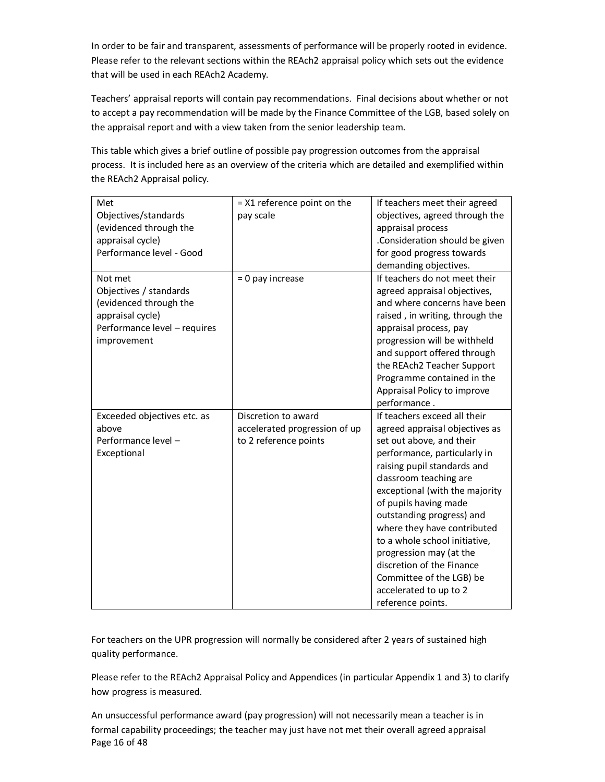In order to be fair and transparent, assessments of performance will be properly rooted in evidence. Please refer to the relevant sections within the REAch2 appraisal policy which sets out the evidence that will be used in each REAch2 Academy.

Teachers' appraisal reports will contain pay recommendations. Final decisions about whether or not to accept a pay recommendation will be made by the Finance Committee of the LGB, based solely on the appraisal report and with a view taken from the senior leadership team.

This table which gives a brief outline of possible pay progression outcomes from the appraisal process. It is included here as an overview of the criteria which are detailed and exemplified within the REAch2 Appraisal policy.

| Met                          | = X1 reference point on the   | If teachers meet their agreed   |
|------------------------------|-------------------------------|---------------------------------|
| Objectives/standards         | pay scale                     | objectives, agreed through the  |
| (evidenced through the       |                               | appraisal process               |
|                              |                               |                                 |
| appraisal cycle)             |                               | .Consideration should be given  |
| Performance level - Good     |                               | for good progress towards       |
|                              |                               | demanding objectives.           |
| Not met                      | = 0 pay increase              | If teachers do not meet their   |
| Objectives / standards       |                               | agreed appraisal objectives,    |
| (evidenced through the       |                               | and where concerns have been    |
| appraisal cycle)             |                               | raised, in writing, through the |
| Performance level - requires |                               | appraisal process, pay          |
| improvement                  |                               | progression will be withheld    |
|                              |                               | and support offered through     |
|                              |                               | the REAch2 Teacher Support      |
|                              |                               | Programme contained in the      |
|                              |                               | Appraisal Policy to improve     |
|                              |                               | performance.                    |
| Exceeded objectives etc. as  | Discretion to award           | If teachers exceed all their    |
| above                        | accelerated progression of up | agreed appraisal objectives as  |
| Performance level -          | to 2 reference points         | set out above, and their        |
| Exceptional                  |                               | performance, particularly in    |
|                              |                               | raising pupil standards and     |
|                              |                               | classroom teaching are          |
|                              |                               | exceptional (with the majority  |
|                              |                               | of pupils having made           |
|                              |                               | outstanding progress) and       |
|                              |                               | where they have contributed     |
|                              |                               | to a whole school initiative,   |
|                              |                               | progression may (at the         |
|                              |                               | discretion of the Finance       |
|                              |                               | Committee of the LGB) be        |
|                              |                               | accelerated to up to 2          |
|                              |                               | reference points.               |
|                              |                               |                                 |

For teachers on the UPR progression will normally be considered after 2 years of sustained high quality performance.

Please refer to the REAch2 Appraisal Policy and Appendices (in particular Appendix 1 and 3) to clarify how progress is measured.

Page 16 of 48 An unsuccessful performance award (pay progression) will not necessarily mean a teacher is in formal capability proceedings; the teacher may just have not met their overall agreed appraisal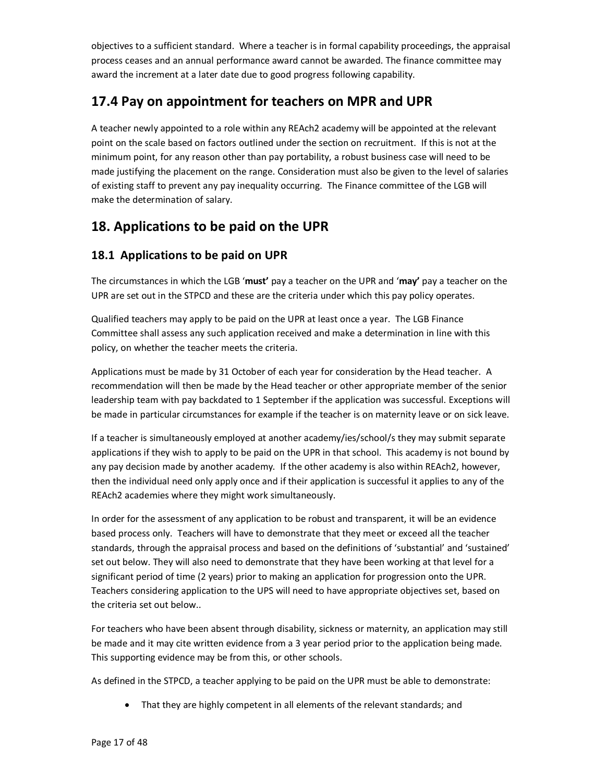objectives to a sufficient standard. Where a teacher is in formal capability proceedings, the appraisal process ceases and an annual performance award cannot be awarded. The finance committee may award the increment at a later date due to good progress following capability.

## **17.4 Pay on appointment for teachers on MPR and UPR**

A teacher newly appointed to a role within any REAch2 academy will be appointed at the relevant point on the scale based on factors outlined under the section on recruitment. If this is not at the minimum point, for any reason other than pay portability, a robust business case will need to be made justifying the placement on the range. Consideration must also be given to the level of salaries of existing staff to prevent any pay inequality occurring. The Finance committee of the LGB will make the determination of salary.

## **18. Applications to be paid on the UPR**

## **18.1 Applications to be paid on UPR**

The circumstances in which the LGB '**must'** pay a teacher on the UPR and '**may'** pay a teacher on the UPR are set out in the STPCD and these are the criteria under which this pay policy operates.

Qualified teachers may apply to be paid on the UPR at least once a year. The LGB Finance Committee shall assess any such application received and make a determination in line with this policy, on whether the teacher meets the criteria.

Applications must be made by 31 October of each year for consideration by the Head teacher. A recommendation will then be made by the Head teacher or other appropriate member of the senior leadership team with pay backdated to 1 September if the application was successful. Exceptions will be made in particular circumstances for example if the teacher is on maternity leave or on sick leave.

If a teacher is simultaneously employed at another academy/ies/school/s they may submit separate applications if they wish to apply to be paid on the UPR in that school. This academy is not bound by any pay decision made by another academy. If the other academy is also within REAch2, however, then the individual need only apply once and if their application is successful it applies to any of the REAch2 academies where they might work simultaneously.

In order for the assessment of any application to be robust and transparent, it will be an evidence based process only. Teachers will have to demonstrate that they meet or exceed all the teacher standards, through the appraisal process and based on the definitions of 'substantial' and 'sustained' set out below. They will also need to demonstrate that they have been working at that level for a significant period of time (2 years) prior to making an application for progression onto the UPR. Teachers considering application to the UPS will need to have appropriate objectives set, based on the criteria set out below..

For teachers who have been absent through disability, sickness or maternity, an application may still be made and it may cite written evidence from a 3 year period prior to the application being made. This supporting evidence may be from this, or other schools.

As defined in the STPCD, a teacher applying to be paid on the UPR must be able to demonstrate:

· That they are highly competent in all elements of the relevant standards; and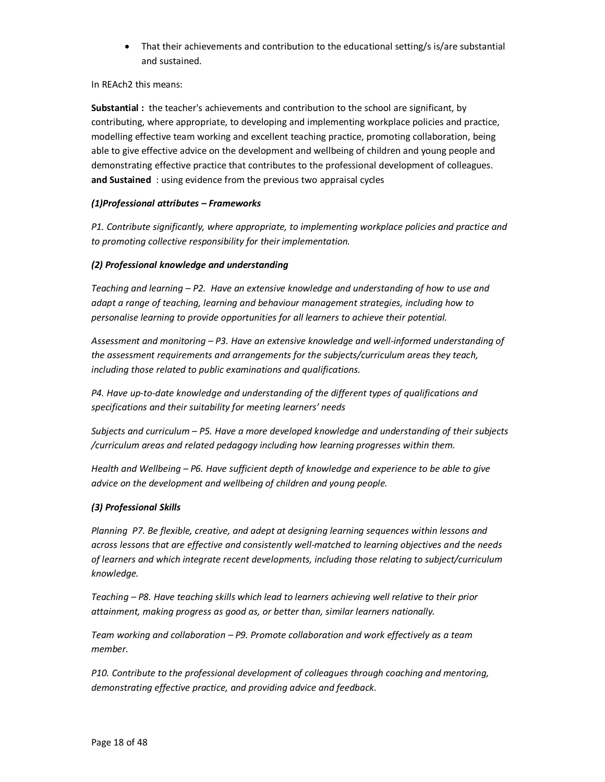· That their achievements and contribution to the educational setting/s is/are substantial and sustained.

#### In REAch2 this means:

**Substantial :** the teacher's achievements and contribution to the school are significant, by contributing, where appropriate, to developing and implementing workplace policies and practice, modelling effective team working and excellent teaching practice, promoting collaboration, being able to give effective advice on the development and wellbeing of children and young people and demonstrating effective practice that contributes to the professional development of colleagues. **and Sustained** : using evidence from the previous two appraisal cycles

#### *(1)Professional attributes – Frameworks*

*P1. Contribute significantly, where appropriate, to implementing workplace policies and practice and to promoting collective responsibility for their implementation.*

#### *(2) Professional knowledge and understanding*

*Teaching and learning – P2. Have an extensive knowledge and understanding of how to use and adapt a range of teaching, learning and behaviour management strategies, including how to personalise learning to provide opportunities for all learners to achieve their potential.*

*Assessment and monitoring – P3. Have an extensive knowledge and well-informed understanding of the assessment requirements and arrangements for the subjects/curriculum areas they teach, including those related to public examinations and qualifications.*

*P4. Have up-to-date knowledge and understanding of the different types of qualifications and specifications and their suitability for meeting learners' needs*

*Subjects and curriculum – P5. Have a more developed knowledge and understanding of their subjects /curriculum areas and related pedagogy including how learning progresses within them.*

*Health and Wellbeing – P6. Have sufficient depth of knowledge and experience to be able to give advice on the development and wellbeing of children and young people.*

#### *(3) Professional Skills*

*Planning P7. Be flexible, creative, and adept at designing learning sequences within lessons and across lessons that are effective and consistently well-matched to learning objectives and the needs of learners and which integrate recent developments, including those relating to subject/curriculum knowledge.*

*Teaching – P8. Have teaching skills which lead to learners achieving well relative to their prior attainment, making progress as good as, or better than, similar learners nationally.* 

*Team working and collaboration – P9. Promote collaboration and work effectively as a team member.*

*P10. Contribute to the professional development of colleagues through coaching and mentoring, demonstrating effective practice, and providing advice and feedback.*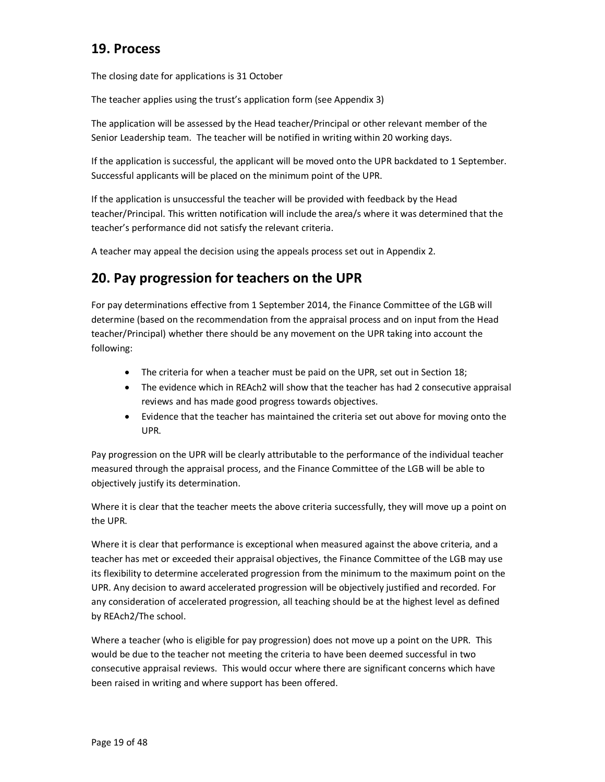## **19. Process**

The closing date for applications is 31 October

The teacher applies using the trust's application form (see Appendix 3)

The application will be assessed by the Head teacher/Principal or other relevant member of the Senior Leadership team. The teacher will be notified in writing within 20 working days.

If the application is successful, the applicant will be moved onto the UPR backdated to 1 September. Successful applicants will be placed on the minimum point of the UPR.

If the application is unsuccessful the teacher will be provided with feedback by the Head teacher/Principal. This written notification will include the area/s where it was determined that the teacher's performance did not satisfy the relevant criteria.

A teacher may appeal the decision using the appeals process set out in Appendix 2.

## **20. Pay progression for teachers on the UPR**

For pay determinations effective from 1 September 2014, the Finance Committee of the LGB will determine (based on the recommendation from the appraisal process and on input from the Head teacher/Principal) whether there should be any movement on the UPR taking into account the following:

- · The criteria for when a teacher must be paid on the UPR, set out in Section 18;
- · The evidence which in REAch2 will show that the teacher has had 2 consecutive appraisal reviews and has made good progress towards objectives.
- · Evidence that the teacher has maintained the criteria set out above for moving onto the UPR.

Pay progression on the UPR will be clearly attributable to the performance of the individual teacher measured through the appraisal process, and the Finance Committee of the LGB will be able to objectively justify its determination.

Where it is clear that the teacher meets the above criteria successfully, they will move up a point on the UPR.

Where it is clear that performance is exceptional when measured against the above criteria, and a teacher has met or exceeded their appraisal objectives, the Finance Committee of the LGB may use its flexibility to determine accelerated progression from the minimum to the maximum point on the UPR. Any decision to award accelerated progression will be objectively justified and recorded. For any consideration of accelerated progression, all teaching should be at the highest level as defined by REAch2/The school.

Where a teacher (who is eligible for pay progression) does not move up a point on the UPR. This would be due to the teacher not meeting the criteria to have been deemed successful in two consecutive appraisal reviews. This would occur where there are significant concerns which have been raised in writing and where support has been offered.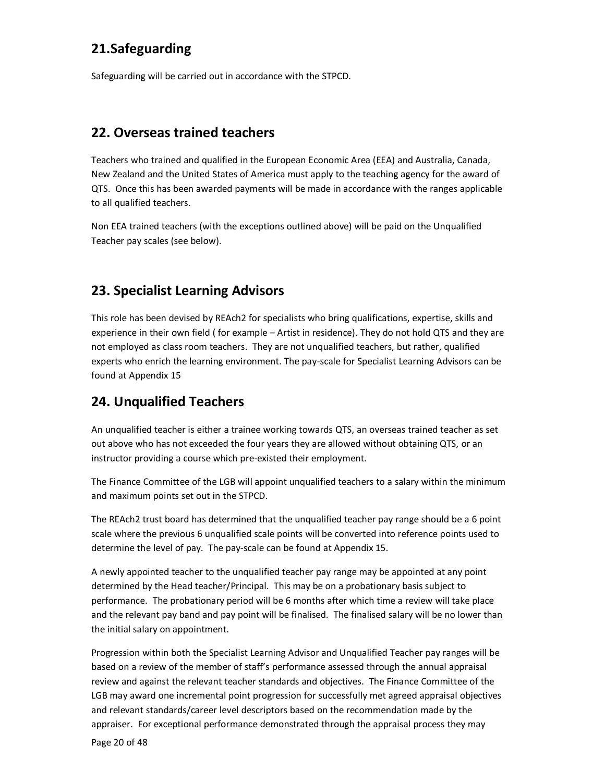## **21.Safeguarding**

Safeguarding will be carried out in accordance with the STPCD.

## **22. Overseas trained teachers**

Teachers who trained and qualified in the European Economic Area (EEA) and Australia, Canada, New Zealand and the United States of America must apply to the teaching agency for the award of QTS. Once this has been awarded payments will be made in accordance with the ranges applicable to all qualified teachers.

Non EEA trained teachers (with the exceptions outlined above) will be paid on the Unqualified Teacher pay scales (see below).

## **23. Specialist Learning Advisors**

This role has been devised by REAch2 for specialists who bring qualifications, expertise, skills and experience in their own field ( for example – Artist in residence). They do not hold QTS and they are not employed as class room teachers. They are not unqualified teachers, but rather, qualified experts who enrich the learning environment. The pay-scale for Specialist Learning Advisors can be found at Appendix 15

## **24. Unqualified Teachers**

An unqualified teacher is either a trainee working towards QTS, an overseas trained teacher as set out above who has not exceeded the four years they are allowed without obtaining QTS, or an instructor providing a course which pre-existed their employment.

The Finance Committee of the LGB will appoint unqualified teachers to a salary within the minimum and maximum points set out in the STPCD.

The REAch2 trust board has determined that the unqualified teacher pay range should be a 6 point scale where the previous 6 unqualified scale points will be converted into reference points used to determine the level of pay. The pay-scale can be found at Appendix 15.

A newly appointed teacher to the unqualified teacher pay range may be appointed at any point determined by the Head teacher/Principal. This may be on a probationary basis subject to performance. The probationary period will be 6 months after which time a review will take place and the relevant pay band and pay point will be finalised. The finalised salary will be no lower than the initial salary on appointment.

Progression within both the Specialist Learning Advisor and Unqualified Teacher pay ranges will be based on a review of the member of staff's performance assessed through the annual appraisal review and against the relevant teacher standards and objectives. The Finance Committee of the LGB may award one incremental point progression for successfully met agreed appraisal objectives and relevant standards/career level descriptors based on the recommendation made by the appraiser. For exceptional performance demonstrated through the appraisal process they may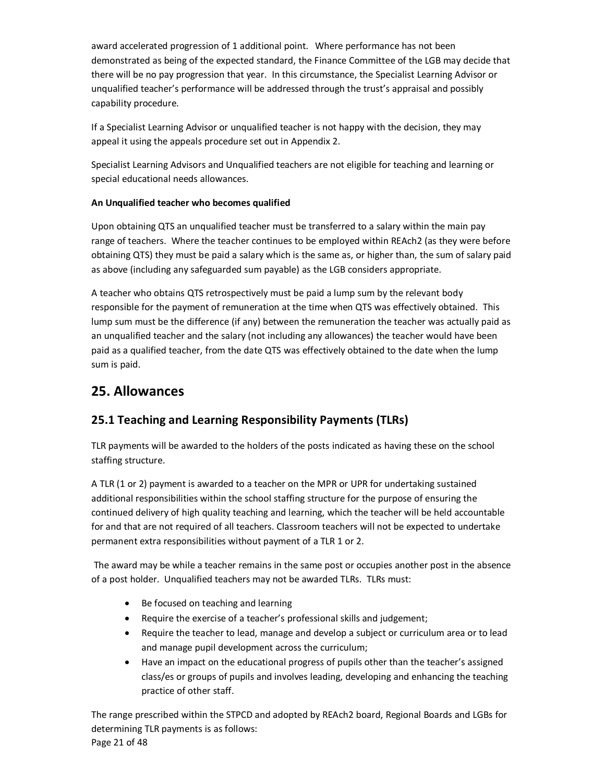award accelerated progression of 1 additional point. Where performance has not been demonstrated as being of the expected standard, the Finance Committee of the LGB may decide that there will be no pay progression that year. In this circumstance, the Specialist Learning Advisor or unqualified teacher's performance will be addressed through the trust's appraisal and possibly capability procedure.

If a Specialist Learning Advisor or unqualified teacher is not happy with the decision, they may appeal it using the appeals procedure set out in Appendix 2.

Specialist Learning Advisors and Unqualified teachers are not eligible for teaching and learning or special educational needs allowances.

#### **An Unqualified teacher who becomes qualified**

Upon obtaining QTS an unqualified teacher must be transferred to a salary within the main pay range of teachers. Where the teacher continues to be employed within REAch2 (as they were before obtaining QTS) they must be paid a salary which is the same as, or higher than, the sum of salary paid as above (including any safeguarded sum payable) as the LGB considers appropriate.

A teacher who obtains QTS retrospectively must be paid a lump sum by the relevant body responsible for the payment of remuneration at the time when QTS was effectively obtained. This lump sum must be the difference (if any) between the remuneration the teacher was actually paid as an unqualified teacher and the salary (not including any allowances) the teacher would have been paid as a qualified teacher, from the date QTS was effectively obtained to the date when the lump sum is paid.

## **25. Allowances**

## **25.1 Teaching and Learning Responsibility Payments (TLRs)**

TLR payments will be awarded to the holders of the posts indicated as having these on the school staffing structure.

A TLR (1 or 2) payment is awarded to a teacher on the MPR or UPR for undertaking sustained additional responsibilities within the school staffing structure for the purpose of ensuring the continued delivery of high quality teaching and learning, which the teacher will be held accountable for and that are not required of all teachers. Classroom teachers will not be expected to undertake permanent extra responsibilities without payment of a TLR 1 or 2.

The award may be while a teacher remains in the same post or occupies another post in the absence of a post holder. Unqualified teachers may not be awarded TLRs. TLRs must:

- · Be focused on teaching and learning
- · Require the exercise of a teacher's professional skills and judgement;
- · Require the teacher to lead, manage and develop a subject or curriculum area or to lead and manage pupil development across the curriculum;
- · Have an impact on the educational progress of pupils other than the teacher's assigned class/es or groups of pupils and involves leading, developing and enhancing the teaching practice of other staff.

Page 21 of 48 The range prescribed within the STPCD and adopted by REAch2 board, Regional Boards and LGBs for determining TLR payments is as follows: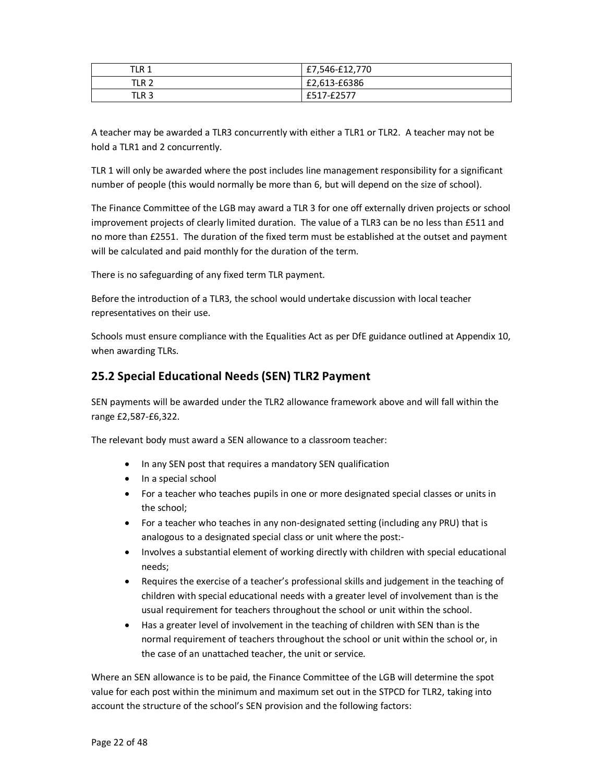| TLR 1            | £7,546-£12,770 |
|------------------|----------------|
| TLR <sub>2</sub> | £2,613-£6386   |
| TLR <sub>3</sub> | £517-£2577     |

A teacher may be awarded a TLR3 concurrently with either a TLR1 or TLR2. A teacher may not be hold a TLR1 and 2 concurrently.

TLR 1 will only be awarded where the post includes line management responsibility for a significant number of people (this would normally be more than 6, but will depend on the size of school).

The Finance Committee of the LGB may award a TLR 3 for one off externally driven projects or school improvement projects of clearly limited duration. The value of a TLR3 can be no less than £511 and no more than £2551. The duration of the fixed term must be established at the outset and payment will be calculated and paid monthly for the duration of the term.

There is no safeguarding of any fixed term TLR payment.

Before the introduction of a TLR3, the school would undertake discussion with local teacher representatives on their use.

Schools must ensure compliance with the Equalities Act as per DfE guidance outlined at Appendix 10, when awarding TLRs.

#### **25.2 Special Educational Needs (SEN) TLR2 Payment**

SEN payments will be awarded under the TLR2 allowance framework above and will fall within the range £2,587-£6,322.

The relevant body must award a SEN allowance to a classroom teacher:

- · In any SEN post that requires a mandatory SEN qualification
- · In a special school
- · For a teacher who teaches pupils in one or more designated special classes or units in the school;
- · For a teacher who teaches in any non-designated setting (including any PRU) that is analogous to a designated special class or unit where the post:-
- · Involves a substantial element of working directly with children with special educational needs;
- · Requires the exercise of a teacher's professional skills and judgement in the teaching of children with special educational needs with a greater level of involvement than is the usual requirement for teachers throughout the school or unit within the school.
- · Has a greater level of involvement in the teaching of children with SEN than is the normal requirement of teachers throughout the school or unit within the school or, in the case of an unattached teacher, the unit or service.

Where an SEN allowance is to be paid, the Finance Committee of the LGB will determine the spot value for each post within the minimum and maximum set out in the STPCD for TLR2, taking into account the structure of the school's SEN provision and the following factors: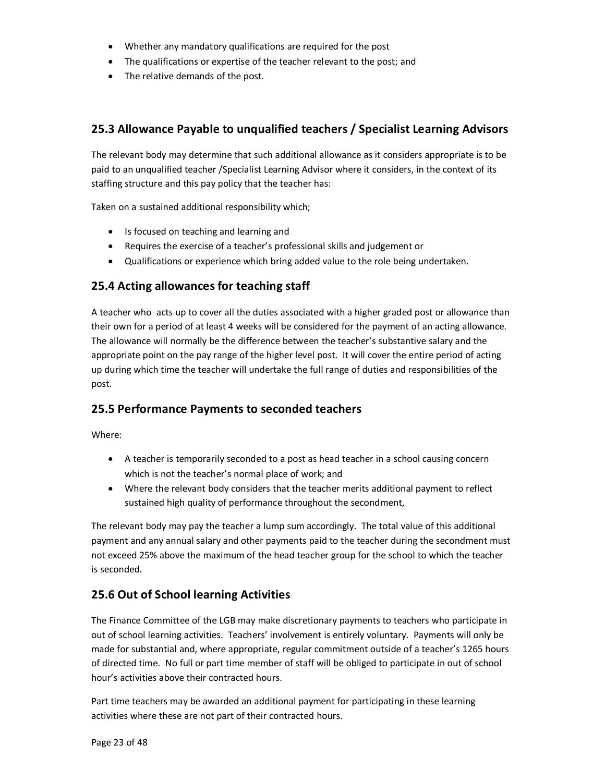- · Whether any mandatory qualifications are required for the post
- · The qualifications or expertise of the teacher relevant to the post; and
- · The relative demands of the post.

## **25.3 Allowance Payable to unqualified teachers / Specialist Learning Advisors**

The relevant body may determine that such additional allowance as it considers appropriate is to be paid to an unqualified teacher /Specialist Learning Advisor where it considers, in the context of its staffing structure and this pay policy that the teacher has:

Taken on a sustained additional responsibility which;

- · Is focused on teaching and learning and
- · Requires the exercise of a teacher's professional skills and judgement or
- · Qualifications or experience which bring added value to the role being undertaken.

## **25.4 Acting allowances for teaching staff**

A teacher who acts up to cover all the duties associated with a higher graded post or allowance than their own for a period of at least 4 weeks will be considered for the payment of an acting allowance. The allowance will normally be the difference between the teacher's substantive salary and the appropriate point on the pay range of the higher level post. It will cover the entire period of acting up during which time the teacher will undertake the full range of duties and responsibilities of the post.

## **25.5 Performance Payments to seconded teachers**

Where:

- · A teacher is temporarily seconded to a post as head teacher in a school causing concern which is not the teacher's normal place of work; and
- · Where the relevant body considers that the teacher merits additional payment to reflect sustained high quality of performance throughout the secondment,

The relevant body may pay the teacher a lump sum accordingly. The total value of this additional payment and any annual salary and other payments paid to the teacher during the secondment must not exceed 25% above the maximum of the head teacher group for the school to which the teacher is seconded.

## **25.6 Out of School learning Activities**

The Finance Committee of the LGB may make discretionary payments to teachers who participate in out of school learning activities. Teachers' involvement is entirely voluntary. Payments will only be made for substantial and, where appropriate, regular commitment outside of a teacher's 1265 hours of directed time. No full or part time member of staff will be obliged to participate in out of school hour's activities above their contracted hours.

Part time teachers may be awarded an additional payment for participating in these learning activities where these are not part of their contracted hours.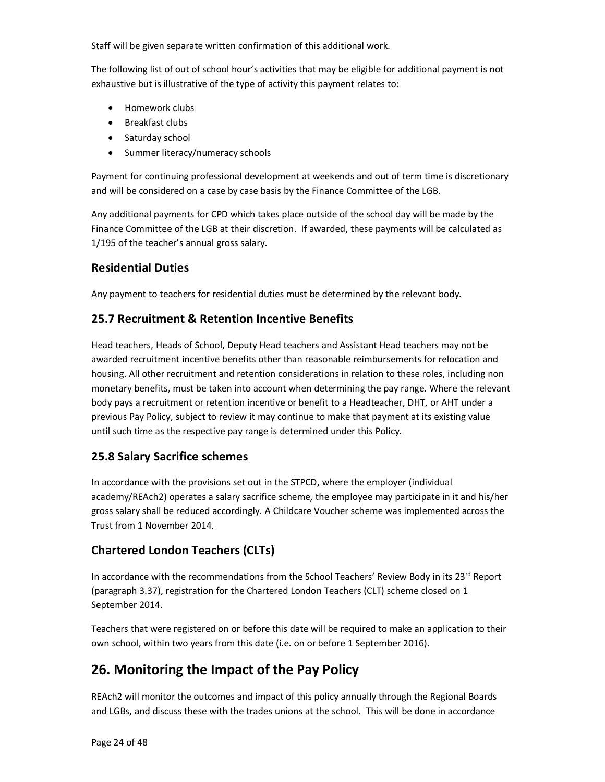Staff will be given separate written confirmation of this additional work.

The following list of out of school hour's activities that may be eligible for additional payment is not exhaustive but is illustrative of the type of activity this payment relates to:

- · Homework clubs
- · Breakfast clubs
- · Saturday school
- Summer literacy/numeracy schools

Payment for continuing professional development at weekends and out of term time is discretionary and will be considered on a case by case basis by the Finance Committee of the LGB.

Any additional payments for CPD which takes place outside of the school day will be made by the Finance Committee of the LGB at their discretion. If awarded, these payments will be calculated as 1/195 of the teacher's annual gross salary.

## **Residential Duties**

Any payment to teachers for residential duties must be determined by the relevant body.

#### **25.7 Recruitment & Retention Incentive Benefits**

Head teachers, Heads of School, Deputy Head teachers and Assistant Head teachers may not be awarded recruitment incentive benefits other than reasonable reimbursements for relocation and housing. All other recruitment and retention considerations in relation to these roles, including non monetary benefits, must be taken into account when determining the pay range. Where the relevant body pays a recruitment or retention incentive or benefit to a Headteacher, DHT, or AHT under a previous Pay Policy, subject to review it may continue to make that payment at its existing value until such time as the respective pay range is determined under this Policy.

#### **25.8 Salary Sacrifice schemes**

In accordance with the provisions set out in the STPCD, where the employer (individual academy/REAch2) operates a salary sacrifice scheme, the employee may participate in it and his/her gross salary shall be reduced accordingly. A Childcare Voucher scheme was implemented across the Trust from 1 November 2014.

## **Chartered London Teachers (CLTs)**

In accordance with the recommendations from the School Teachers' Review Body in its 23<sup>rd</sup> Report (paragraph 3.37), registration for the Chartered London Teachers (CLT) scheme closed on 1 September 2014.

Teachers that were registered on or before this date will be required to make an application to their own school, within two years from this date (i.e. on or before 1 September 2016).

## **26. Monitoring the Impact of the Pay Policy**

REAch2 will monitor the outcomes and impact of this policy annually through the Regional Boards and LGBs, and discuss these with the trades unions at the school. This will be done in accordance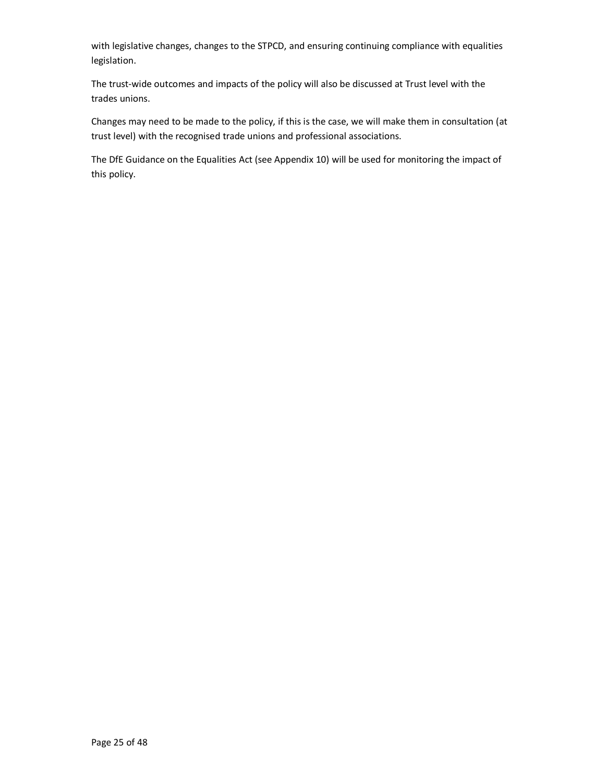with legislative changes, changes to the STPCD, and ensuring continuing compliance with equalities legislation.

The trust-wide outcomes and impacts of the policy will also be discussed at Trust level with the trades unions.

Changes may need to be made to the policy, if this is the case, we will make them in consultation (at trust level) with the recognised trade unions and professional associations.

The DfE Guidance on the Equalities Act (see Appendix 10) will be used for monitoring the impact of this policy.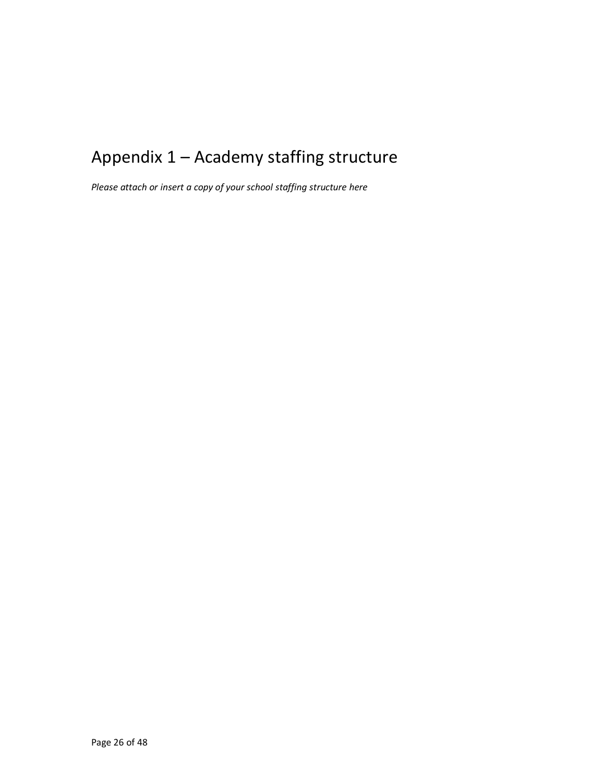# Appendix 1 – Academy staffing structure

*Please attach or insert a copy of your school staffing structure here*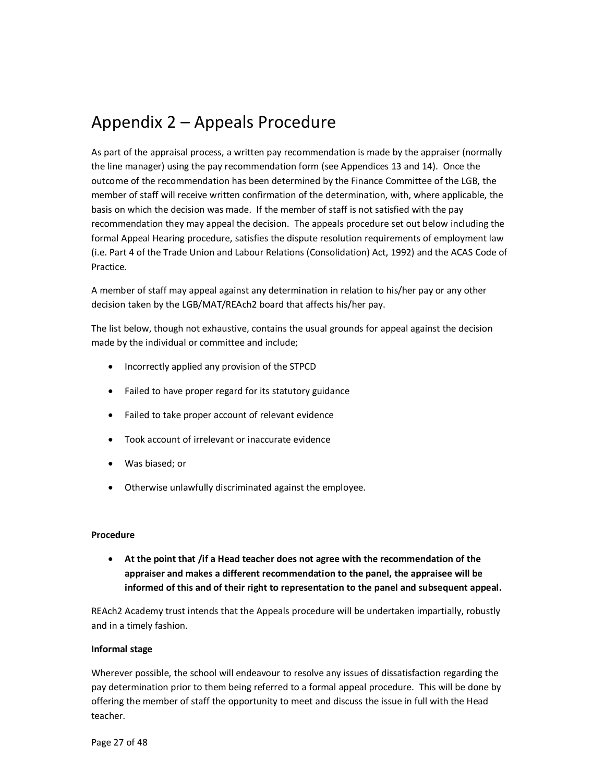# Appendix 2 – Appeals Procedure

As part of the appraisal process, a written pay recommendation is made by the appraiser (normally the line manager) using the pay recommendation form (see Appendices 13 and 14). Once the outcome of the recommendation has been determined by the Finance Committee of the LGB, the member of staff will receive written confirmation of the determination, with, where applicable, the basis on which the decision was made. If the member of staff is not satisfied with the pay recommendation they may appeal the decision. The appeals procedure set out below including the formal Appeal Hearing procedure, satisfies the dispute resolution requirements of employment law (i.e. Part 4 of the Trade Union and Labour Relations (Consolidation) Act, 1992) and the ACAS Code of Practice.

A member of staff may appeal against any determination in relation to his/her pay or any other decision taken by the LGB/MAT/REAch2 board that affects his/her pay.

The list below, though not exhaustive, contains the usual grounds for appeal against the decision made by the individual or committee and include;

- · Incorrectly applied any provision of the STPCD
- · Failed to have proper regard for its statutory guidance
- · Failed to take proper account of relevant evidence
- · Took account of irrelevant or inaccurate evidence
- Was biased; or
- · Otherwise unlawfully discriminated against the employee.

#### **Procedure**

· **At the point that /if a Head teacher does not agree with the recommendation of the appraiser and makes a different recommendation to the panel, the appraisee will be informed of this and of their right to representation to the panel and subsequent appeal.**

REAch2 Academy trust intends that the Appeals procedure will be undertaken impartially, robustly and in a timely fashion.

#### **Informal stage**

Wherever possible, the school will endeavour to resolve any issues of dissatisfaction regarding the pay determination prior to them being referred to a formal appeal procedure. This will be done by offering the member of staff the opportunity to meet and discuss the issue in full with the Head teacher.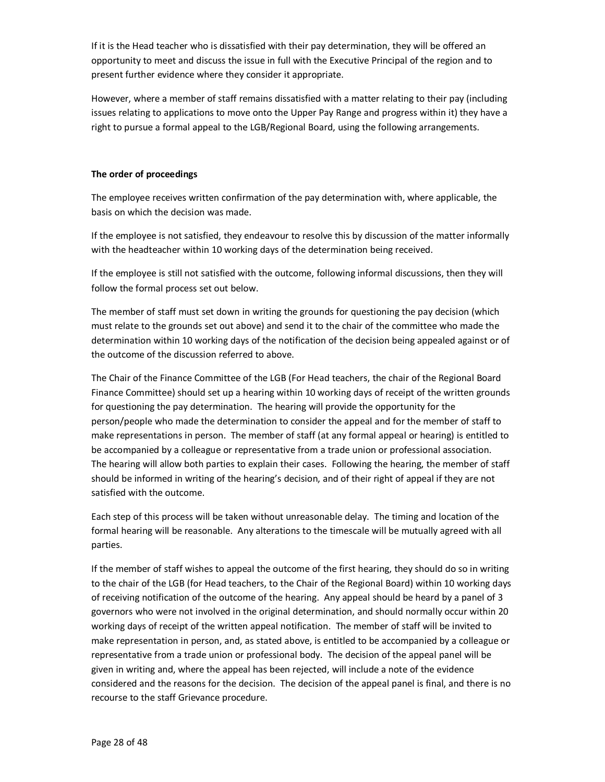If it is the Head teacher who is dissatisfied with their pay determination, they will be offered an opportunity to meet and discuss the issue in full with the Executive Principal of the region and to present further evidence where they consider it appropriate.

However, where a member of staff remains dissatisfied with a matter relating to their pay (including issues relating to applications to move onto the Upper Pay Range and progress within it) they have a right to pursue a formal appeal to the LGB/Regional Board, using the following arrangements.

#### **The order of proceedings**

The employee receives written confirmation of the pay determination with, where applicable, the basis on which the decision was made.

If the employee is not satisfied, they endeavour to resolve this by discussion of the matter informally with the headteacher within 10 working days of the determination being received.

If the employee is still not satisfied with the outcome, following informal discussions, then they will follow the formal process set out below.

The member of staff must set down in writing the grounds for questioning the pay decision (which must relate to the grounds set out above) and send it to the chair of the committee who made the determination within 10 working days of the notification of the decision being appealed against or of the outcome of the discussion referred to above.

The Chair of the Finance Committee of the LGB (For Head teachers, the chair of the Regional Board Finance Committee) should set up a hearing within 10 working days of receipt of the written grounds for questioning the pay determination. The hearing will provide the opportunity for the person/people who made the determination to consider the appeal and for the member of staff to make representations in person. The member of staff (at any formal appeal or hearing) is entitled to be accompanied by a colleague or representative from a trade union or professional association. The hearing will allow both parties to explain their cases. Following the hearing, the member of staff should be informed in writing of the hearing's decision, and of their right of appeal if they are not satisfied with the outcome.

Each step of this process will be taken without unreasonable delay. The timing and location of the formal hearing will be reasonable. Any alterations to the timescale will be mutually agreed with all parties.

If the member of staff wishes to appeal the outcome of the first hearing, they should do so in writing to the chair of the LGB (for Head teachers, to the Chair of the Regional Board) within 10 working days of receiving notification of the outcome of the hearing. Any appeal should be heard by a panel of 3 governors who were not involved in the original determination, and should normally occur within 20 working days of receipt of the written appeal notification. The member of staff will be invited to make representation in person, and, as stated above, is entitled to be accompanied by a colleague or representative from a trade union or professional body. The decision of the appeal panel will be given in writing and, where the appeal has been rejected, will include a note of the evidence considered and the reasons for the decision. The decision of the appeal panel is final, and there is no recourse to the staff Grievance procedure.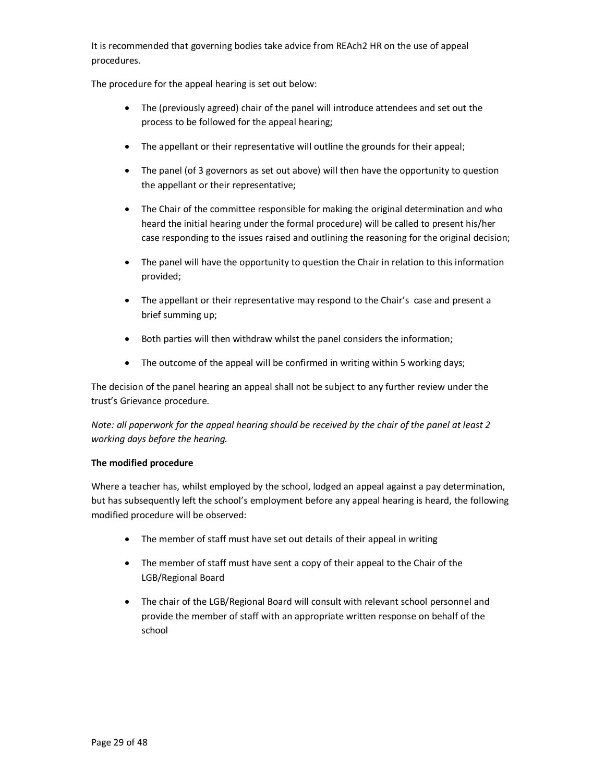It is recommended that governing bodies take advice from REAch2 HR on the use of appeal procedures.

The procedure for the appeal hearing is set out below:

- · The (previously agreed) chair of the panel will introduce attendees and set out the process to be followed for the appeal hearing;
- · The appellant or their representative will outline the grounds for their appeal;
- The panel (of 3 governors as set out above) will then have the opportunity to question the appellant or their representative;
- The Chair of the committee responsible for making the original determination and who heard the initial hearing under the formal procedure) will be called to present his/her case responding to the issues raised and outlining the reasoning for the original decision;
- · The panel will have the opportunity to question the Chair in relation to this information provided;
- · The appellant or their representative may respond to the Chair's case and present a brief summing up;
- · Both parties will then withdraw whilst the panel considers the information;
- · The outcome of the appeal will be confirmed in writing within 5 working days;

The decision of the panel hearing an appeal shall not be subject to any further review under the trust's Grievance procedure.

*Note: all paperwork for the appeal hearing should be received by the chair of the panel at least 2 working days before the hearing.*

#### **The modified procedure**

Where a teacher has, whilst employed by the school, lodged an appeal against a pay determination, but has subsequently left the school's employment before any appeal hearing is heard, the following modified procedure will be observed:

- The member of staff must have set out details of their appeal in writing
- · The member of staff must have sent a copy of their appeal to the Chair of the LGB/Regional Board
- · The chair of the LGB/Regional Board will consult with relevant school personnel and provide the member of staff with an appropriate written response on behalf of the school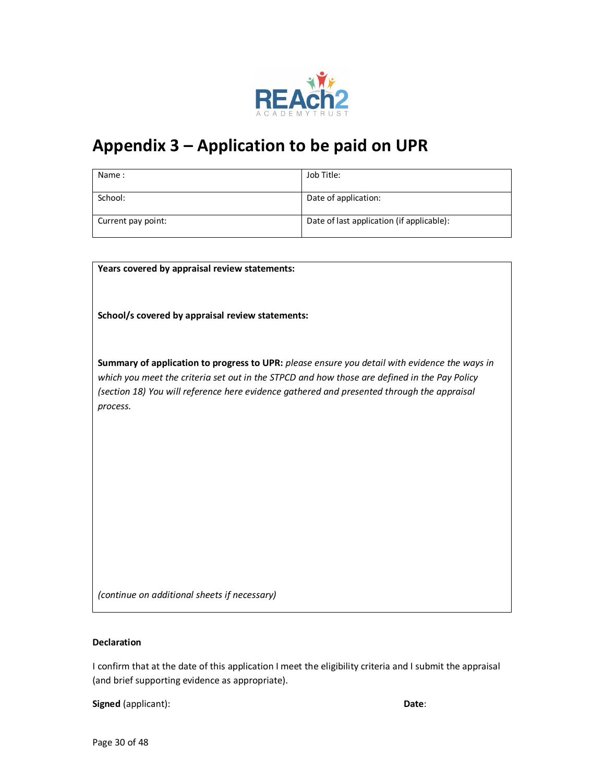

# **Appendix 3 – Application to be paid on UPR**

| Name:              | Job Title:                                |
|--------------------|-------------------------------------------|
| School:            | Date of application:                      |
| Current pay point: | Date of last application (if applicable): |

**Years covered by appraisal review statements: School/s covered by appraisal review statements: Summary of application to progress to UPR:** *please ensure you detail with evidence the ways in which you meet the criteria set out in the STPCD and how those are defined in the Pay Policy (section 18) You will reference here evidence gathered and presented through the appraisal process. (continue on additional sheets if necessary)*

#### **Declaration**

I confirm that at the date of this application I meet the eligibility criteria and I submit the appraisal (and brief supporting evidence as appropriate).

**Signed** (applicant): **Date**: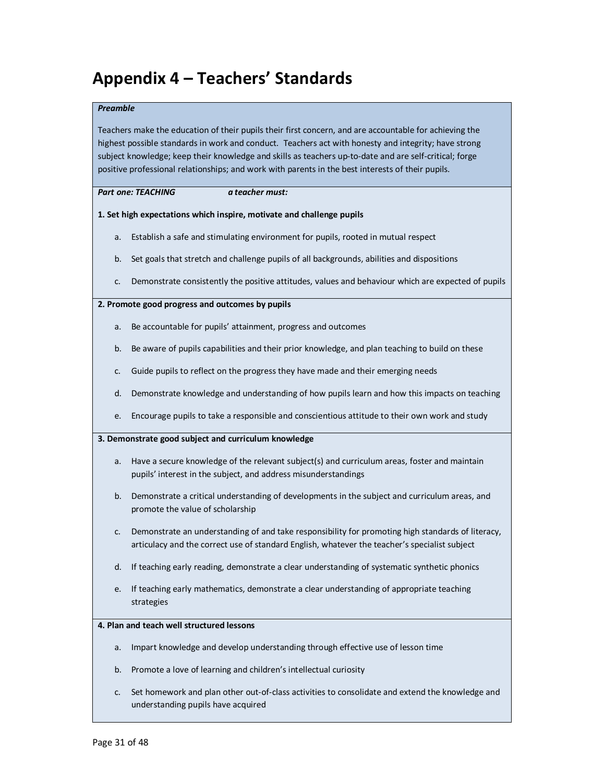# **Appendix 4 – Teachers' Standards**

#### *Preamble*

Teachers make the education of their pupils their first concern, and are accountable for achieving the highest possible standards in work and conduct. Teachers act with honesty and integrity; have strong subject knowledge; keep their knowledge and skills as teachers up-to-date and are self-critical; forge positive professional relationships; and work with parents in the best interests of their pupils.

**Part one: TEACHING a teacher must:** 

#### **1. Set high expectations which inspire, motivate and challenge pupils**

- a. Establish a safe and stimulating environment for pupils, rooted in mutual respect
- b. Set goals that stretch and challenge pupils of all backgrounds, abilities and dispositions
- c. Demonstrate consistently the positive attitudes, values and behaviour which are expected of pupils

#### **2. Promote good progress and outcomes by pupils**

- a. Be accountable for pupils' attainment, progress and outcomes
- b. Be aware of pupils capabilities and their prior knowledge, and plan teaching to build on these
- c. Guide pupils to reflect on the progress they have made and their emerging needs
- d. Demonstrate knowledge and understanding of how pupils learn and how this impacts on teaching
- e. Encourage pupils to take a responsible and conscientious attitude to their own work and study

#### **3. Demonstrate good subject and curriculum knowledge**

- a. Have a secure knowledge of the relevant subject(s) and curriculum areas, foster and maintain pupils' interest in the subject, and address misunderstandings
- b. Demonstrate a critical understanding of developments in the subject and curriculum areas, and promote the value of scholarship
- c. Demonstrate an understanding of and take responsibility for promoting high standards of literacy, articulacy and the correct use of standard English, whatever the teacher's specialist subject
- d. If teaching early reading, demonstrate a clear understanding of systematic synthetic phonics
- e. If teaching early mathematics, demonstrate a clear understanding of appropriate teaching strategies

#### **4. Plan and teach well structured lessons**

- a. Impart knowledge and develop understanding through effective use of lesson time
- b. Promote a love of learning and children's intellectual curiosity
- c. Set homework and plan other out-of-class activities to consolidate and extend the knowledge and understanding pupils have acquired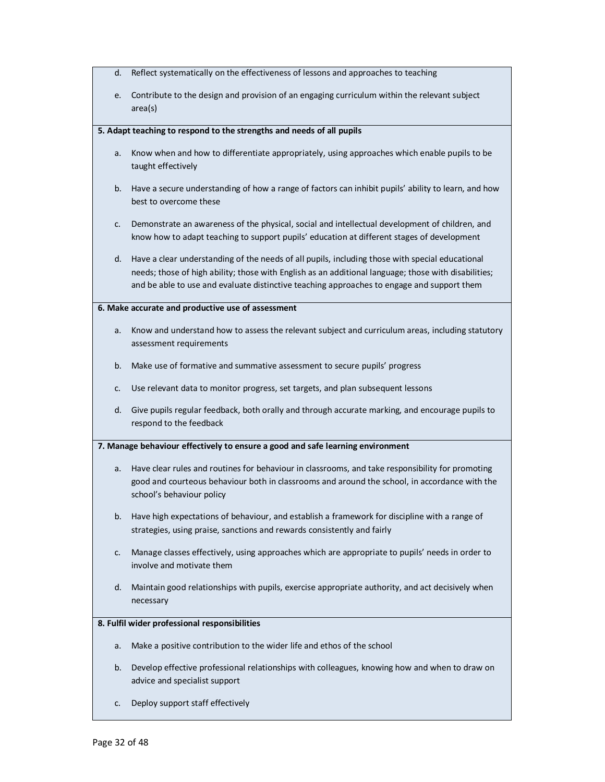| d.                                                                                                            | Reflect systematically on the effectiveness of lessons and approaches to teaching                                                                                                                                                                                                                     |  |
|---------------------------------------------------------------------------------------------------------------|-------------------------------------------------------------------------------------------------------------------------------------------------------------------------------------------------------------------------------------------------------------------------------------------------------|--|
| Contribute to the design and provision of an engaging curriculum within the relevant subject<br>e.<br>area(s) |                                                                                                                                                                                                                                                                                                       |  |
|                                                                                                               | 5. Adapt teaching to respond to the strengths and needs of all pupils                                                                                                                                                                                                                                 |  |
| a.                                                                                                            | Know when and how to differentiate appropriately, using approaches which enable pupils to be<br>taught effectively                                                                                                                                                                                    |  |
| b.                                                                                                            | Have a secure understanding of how a range of factors can inhibit pupils' ability to learn, and how<br>best to overcome these                                                                                                                                                                         |  |
| c.                                                                                                            | Demonstrate an awareness of the physical, social and intellectual development of children, and<br>know how to adapt teaching to support pupils' education at different stages of development                                                                                                          |  |
| d.                                                                                                            | Have a clear understanding of the needs of all pupils, including those with special educational<br>needs; those of high ability; those with English as an additional language; those with disabilities;<br>and be able to use and evaluate distinctive teaching approaches to engage and support them |  |
|                                                                                                               | 6. Make accurate and productive use of assessment                                                                                                                                                                                                                                                     |  |
| a.                                                                                                            | Know and understand how to assess the relevant subject and curriculum areas, including statutory<br>assessment requirements                                                                                                                                                                           |  |
| b.                                                                                                            | Make use of formative and summative assessment to secure pupils' progress                                                                                                                                                                                                                             |  |
| c.                                                                                                            | Use relevant data to monitor progress, set targets, and plan subsequent lessons                                                                                                                                                                                                                       |  |
| d.                                                                                                            | Give pupils regular feedback, both orally and through accurate marking, and encourage pupils to<br>respond to the feedback                                                                                                                                                                            |  |
|                                                                                                               | 7. Manage behaviour effectively to ensure a good and safe learning environment                                                                                                                                                                                                                        |  |
| a.                                                                                                            | Have clear rules and routines for behaviour in classrooms, and take responsibility for promoting<br>good and courteous behaviour both in classrooms and around the school, in accordance with the<br>school's behaviour policy                                                                        |  |
| b.                                                                                                            | Have high expectations of behaviour, and establish a framework for discipline with a range of<br>strategies, using praise, sanctions and rewards consistently and fairly                                                                                                                              |  |
| c.                                                                                                            | Manage classes effectively, using approaches which are appropriate to pupils' needs in order to<br>involve and motivate them                                                                                                                                                                          |  |
| d.                                                                                                            | Maintain good relationships with pupils, exercise appropriate authority, and act decisively when<br>necessary                                                                                                                                                                                         |  |
|                                                                                                               | 8. Fulfil wider professional responsibilities                                                                                                                                                                                                                                                         |  |
| a.                                                                                                            | Make a positive contribution to the wider life and ethos of the school                                                                                                                                                                                                                                |  |
| b.                                                                                                            | Develop effective professional relationships with colleagues, knowing how and when to draw on<br>advice and specialist support                                                                                                                                                                        |  |
| c.                                                                                                            | Deploy support staff effectively                                                                                                                                                                                                                                                                      |  |

 $\mathbf{I}$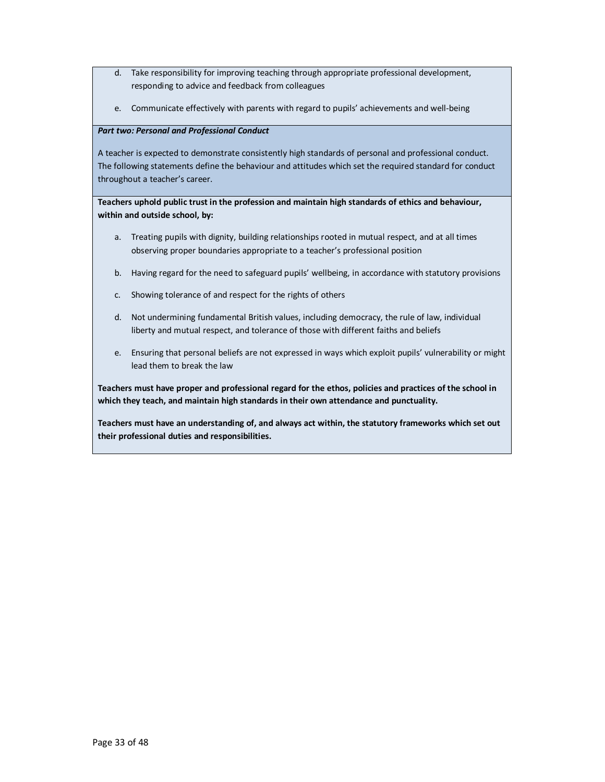- d. Take responsibility for improving teaching through appropriate professional development, responding to advice and feedback from colleagues
- e. Communicate effectively with parents with regard to pupils' achievements and well-being

#### *Part two: Personal and Professional Conduct*

A teacher is expected to demonstrate consistently high standards of personal and professional conduct. The following statements define the behaviour and attitudes which set the required standard for conduct throughout a teacher's career.

**Teachers uphold public trust in the profession and maintain high standards of ethics and behaviour, within and outside school, by:**

- a. Treating pupils with dignity, building relationships rooted in mutual respect, and at all times observing proper boundaries appropriate to a teacher's professional position
- b. Having regard for the need to safeguard pupils' wellbeing, in accordance with statutory provisions
- c. Showing tolerance of and respect for the rights of others
- d. Not undermining fundamental British values, including democracy, the rule of law, individual liberty and mutual respect, and tolerance of those with different faiths and beliefs
- e. Ensuring that personal beliefs are not expressed in ways which exploit pupils' vulnerability or might lead them to break the law

**Teachers must have proper and professional regard for the ethos, policies and practices of the school in which they teach, and maintain high standards in their own attendance and punctuality.**

**Teachers must have an understanding of, and always act within, the statutory frameworks which set out their professional duties and responsibilities.**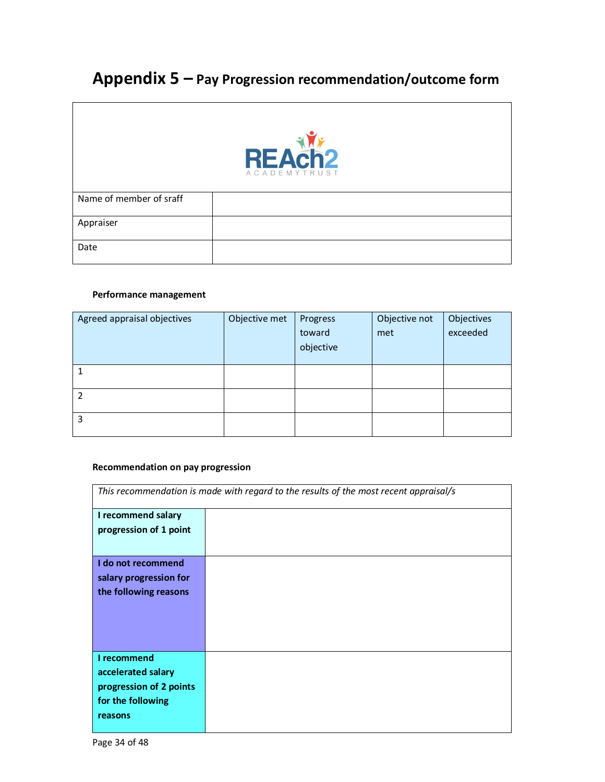# **Appendix 5 – Pay Progression recommendation/outcome form**



| Name of member of sraff |  |
|-------------------------|--|
|                         |  |
| Appraiser               |  |
|                         |  |
| Date                    |  |
|                         |  |

#### **Performance management**

| Agreed appraisal objectives | Objective met | Progress<br>toward<br>objective | Objective not<br>met | Objectives<br>exceeded |
|-----------------------------|---------------|---------------------------------|----------------------|------------------------|
|                             |               |                                 |                      |                        |
| 2                           |               |                                 |                      |                        |
| 3                           |               |                                 |                      |                        |

#### **Recommendation on pay progression**

|                         | This recommendation is made with regard to the results of the most recent appraisal/s |
|-------------------------|---------------------------------------------------------------------------------------|
| I recommend salary      |                                                                                       |
| progression of 1 point  |                                                                                       |
| I do not recommend      |                                                                                       |
| salary progression for  |                                                                                       |
| the following reasons   |                                                                                       |
|                         |                                                                                       |
|                         |                                                                                       |
|                         |                                                                                       |
| I recommend             |                                                                                       |
| accelerated salary      |                                                                                       |
| progression of 2 points |                                                                                       |
| for the following       |                                                                                       |
| reasons                 |                                                                                       |
|                         |                                                                                       |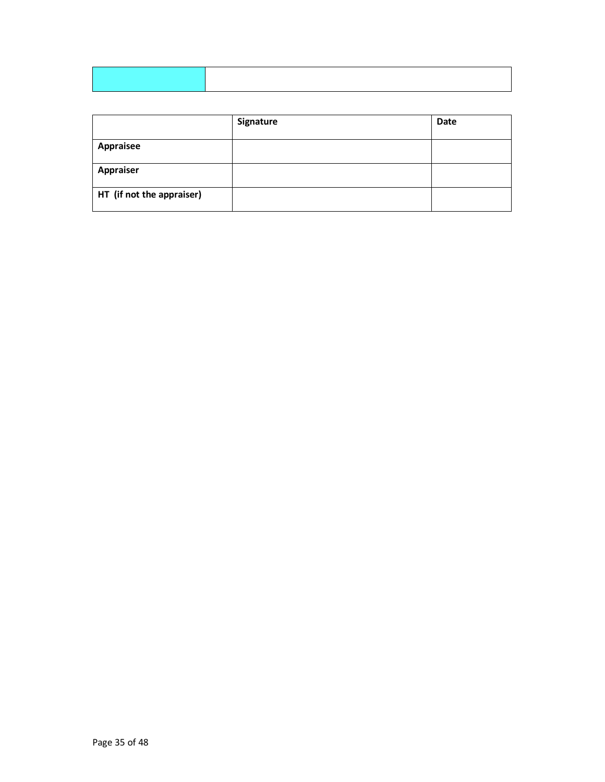|                           | Signature | Date |
|---------------------------|-----------|------|
| Appraisee                 |           |      |
| Appraiser                 |           |      |
| HT (if not the appraiser) |           |      |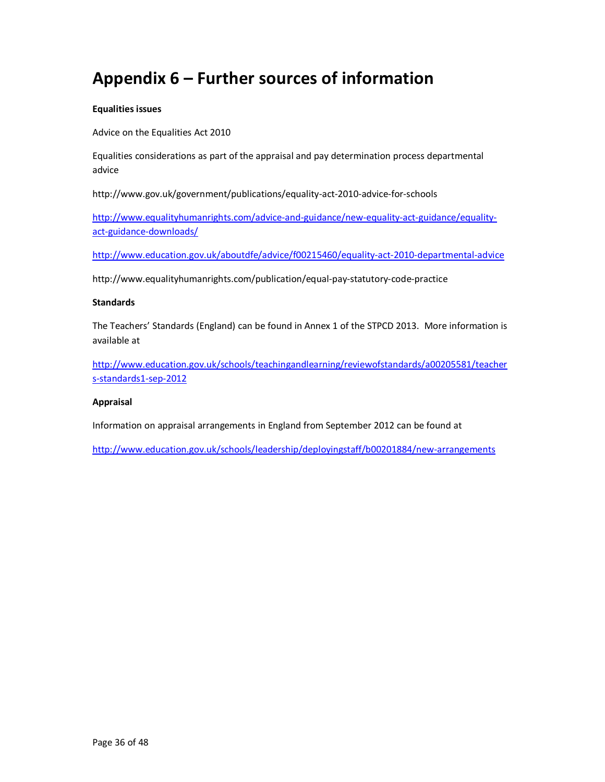# **Appendix 6 – Further sources of information**

#### **Equalities issues**

Advice on the Equalities Act 2010

Equalities considerations as part of the appraisal and pay determination process departmental advice

http://www.gov.uk/government/publications/equality-act-2010-advice-for-schools

http://www.equalityhumanrights.com/advice-and-guidance/new-equality-act-guidance/equalityact-guidance-downloads/

http://www.education.gov.uk/aboutdfe/advice/f00215460/equality-act-2010-departmental-advice

http://www.equalityhumanrights.com/publication/equal-pay-statutory-code-practice

#### **Standards**

The Teachers' Standards (England) can be found in Annex 1 of the STPCD 2013. More information is available at

http://www.education.gov.uk/schools/teachingandlearning/reviewofstandards/a00205581/teacher s-standards1-sep-2012

#### **Appraisal**

Information on appraisal arrangements in England from September 2012 can be found at

http://www.education.gov.uk/schools/leadership/deployingstaff/b00201884/new-arrangements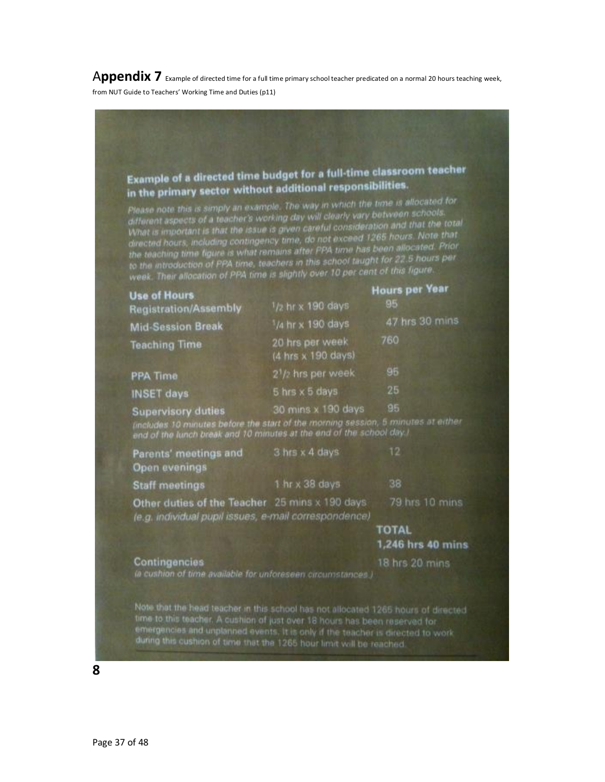Appendix 7 Example of directed time for a full time primary school teacher predicated on a normal 20 hours teaching week, from NUT Guide to Teachers' Working Time and Duties (p11)



in the primary sector without additional responsations.<br>Please note this is simply an example. The way in which the time is allocated for<br>different aspects of a teacher's working day will clearly vary between schools.<br>What

| <b>Use of Hours</b>                                                                                                                                      |                                       | Hours per Year    |
|----------------------------------------------------------------------------------------------------------------------------------------------------------|---------------------------------------|-------------------|
| <b>Registration/Assembly</b>                                                                                                                             | $1/2$ hr x 190 days                   | 95                |
| <b>Mid Session Break</b>                                                                                                                                 | 1/4 hr x 190 days                     | 47 hrs 30 mins    |
| <b>Teaching Time</b>                                                                                                                                     | 20 hrs per week<br>(4 hrs x 190 days) | 760               |
| PPA Time                                                                                                                                                 | 2 <sup>1</sup> /2 hrs per week        | 96                |
| <b>INSET days</b>                                                                                                                                        | 5 hrs x 5 days                        | 25                |
| <b>Supervisory duties</b>                                                                                                                                | 30 mins x 190 days                    | 395               |
| includes 10 minutes before the start of the morning session, 5 minutes at either<br>end of the lunch break and 10 minutes at the end of the school day.) |                                       |                   |
| Parents' meetings and<br>Open evenings                                                                                                                   | 3 hrs x 4 days                        | 12                |
| <b>Staff meetings</b>                                                                                                                                    | $1 hr \times 38 days$                 | 38                |
| Other duties of the Teacher 25 mins x 190 days<br>(e.g. individual pupil issues, e-mail correspondence)                                                  |                                       | 79 hrs 10 mins    |
|                                                                                                                                                          |                                       | <b>TOTAL</b>      |
|                                                                                                                                                          |                                       | 1,246 hrs 40 mins |
| Contingencies<br>(a cushion of time available for unforeseen circumstances.)                                                                             |                                       | 18 hrs 20 mins    |
|                                                                                                                                                          |                                       |                   |

Note that the head teacher in this school has not allocated 1265 hours of directed<br>time to this teacher. A cushion of just over 18 hours has been reserved for<br>emergencies and unplanned events. It is only if the teacher is

**8**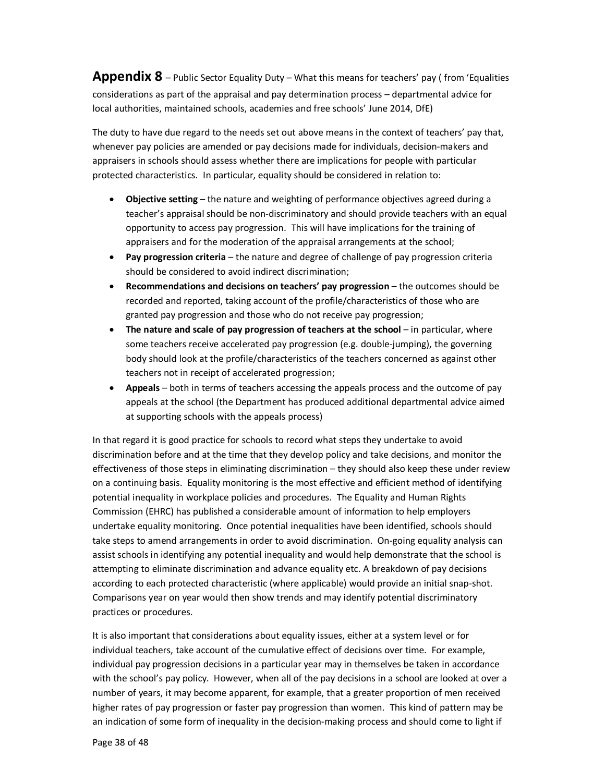**Appendix 8** – Public Sector Equality Duty – What this means for teachers' pay ( from 'Equalities considerations as part of the appraisal and pay determination process – departmental advice for local authorities, maintained schools, academies and free schools' June 2014, DfE)

The duty to have due regard to the needs set out above means in the context of teachers' pay that, whenever pay policies are amended or pay decisions made for individuals, decision-makers and appraisers in schools should assess whether there are implications for people with particular protected characteristics. In particular, equality should be considered in relation to:

- · **Objective setting** the nature and weighting of performance objectives agreed during a teacher's appraisal should be non-discriminatory and should provide teachers with an equal opportunity to access pay progression. This will have implications for the training of appraisers and for the moderation of the appraisal arrangements at the school;
- · **Pay progression criteria** the nature and degree of challenge of pay progression criteria should be considered to avoid indirect discrimination;
- · **Recommendations and decisions on teachers' pay progression** the outcomes should be recorded and reported, taking account of the profile/characteristics of those who are granted pay progression and those who do not receive pay progression;
- · **The nature and scale of pay progression of teachers at the school** in particular, where some teachers receive accelerated pay progression (e.g. double-jumping), the governing body should look at the profile/characteristics of the teachers concerned as against other teachers not in receipt of accelerated progression;
- · **Appeals** both in terms of teachers accessing the appeals process and the outcome of pay appeals at the school (the Department has produced additional departmental advice aimed at supporting schools with the appeals process)

In that regard it is good practice for schools to record what steps they undertake to avoid discrimination before and at the time that they develop policy and take decisions, and monitor the effectiveness of those steps in eliminating discrimination – they should also keep these under review on a continuing basis. Equality monitoring is the most effective and efficient method of identifying potential inequality in workplace policies and procedures. The Equality and Human Rights Commission (EHRC) has published a considerable amount of information to help employers undertake equality monitoring. Once potential inequalities have been identified, schools should take steps to amend arrangements in order to avoid discrimination. On-going equality analysis can assist schools in identifying any potential inequality and would help demonstrate that the school is attempting to eliminate discrimination and advance equality etc. A breakdown of pay decisions according to each protected characteristic (where applicable) would provide an initial snap-shot. Comparisons year on year would then show trends and may identify potential discriminatory practices or procedures.

It is also important that considerations about equality issues, either at a system level or for individual teachers, take account of the cumulative effect of decisions over time. For example, individual pay progression decisions in a particular year may in themselves be taken in accordance with the school's pay policy. However, when all of the pay decisions in a school are looked at over a number of years, it may become apparent, for example, that a greater proportion of men received higher rates of pay progression or faster pay progression than women. This kind of pattern may be an indication of some form of inequality in the decision-making process and should come to light if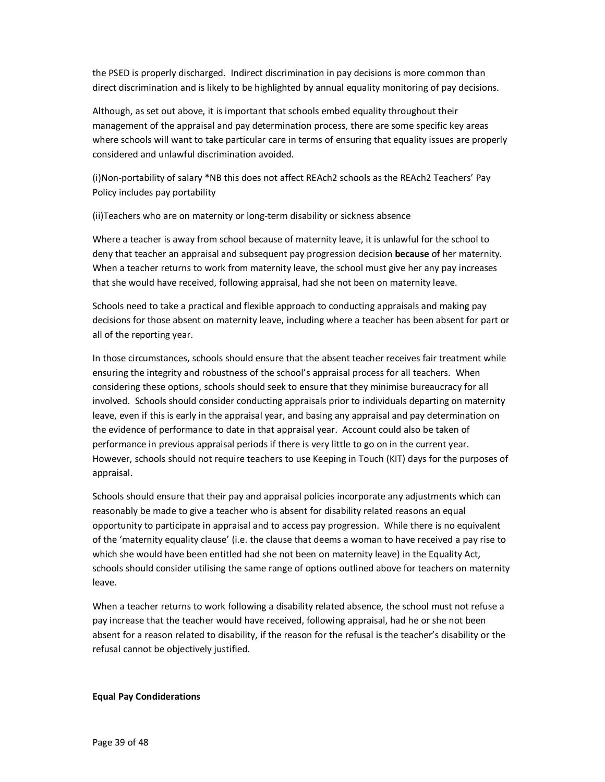the PSED is properly discharged. Indirect discrimination in pay decisions is more common than direct discrimination and is likely to be highlighted by annual equality monitoring of pay decisions.

Although, as set out above, it is important that schools embed equality throughout their management of the appraisal and pay determination process, there are some specific key areas where schools will want to take particular care in terms of ensuring that equality issues are properly considered and unlawful discrimination avoided.

(i)Non-portability of salary \*NB this does not affect REAch2 schools as the REAch2 Teachers' Pay Policy includes pay portability

(ii)Teachers who are on maternity or long-term disability or sickness absence

Where a teacher is away from school because of maternity leave, it is unlawful for the school to deny that teacher an appraisal and subsequent pay progression decision **because** of her maternity. When a teacher returns to work from maternity leave, the school must give her any pay increases that she would have received, following appraisal, had she not been on maternity leave.

Schools need to take a practical and flexible approach to conducting appraisals and making pay decisions for those absent on maternity leave, including where a teacher has been absent for part or all of the reporting year.

In those circumstances, schools should ensure that the absent teacher receives fair treatment while ensuring the integrity and robustness of the school's appraisal process for all teachers. When considering these options, schools should seek to ensure that they minimise bureaucracy for all involved. Schools should consider conducting appraisals prior to individuals departing on maternity leave, even if this is early in the appraisal year, and basing any appraisal and pay determination on the evidence of performance to date in that appraisal year. Account could also be taken of performance in previous appraisal periods if there is very little to go on in the current year. However, schools should not require teachers to use Keeping in Touch (KIT) days for the purposes of appraisal.

Schools should ensure that their pay and appraisal policies incorporate any adjustments which can reasonably be made to give a teacher who is absent for disability related reasons an equal opportunity to participate in appraisal and to access pay progression. While there is no equivalent of the 'maternity equality clause' (i.e. the clause that deems a woman to have received a pay rise to which she would have been entitled had she not been on maternity leave) in the Equality Act, schools should consider utilising the same range of options outlined above for teachers on maternity leave.

When a teacher returns to work following a disability related absence, the school must not refuse a pay increase that the teacher would have received, following appraisal, had he or she not been absent for a reason related to disability, if the reason for the refusal is the teacher's disability or the refusal cannot be objectively justified.

#### **Equal Pay Condiderations**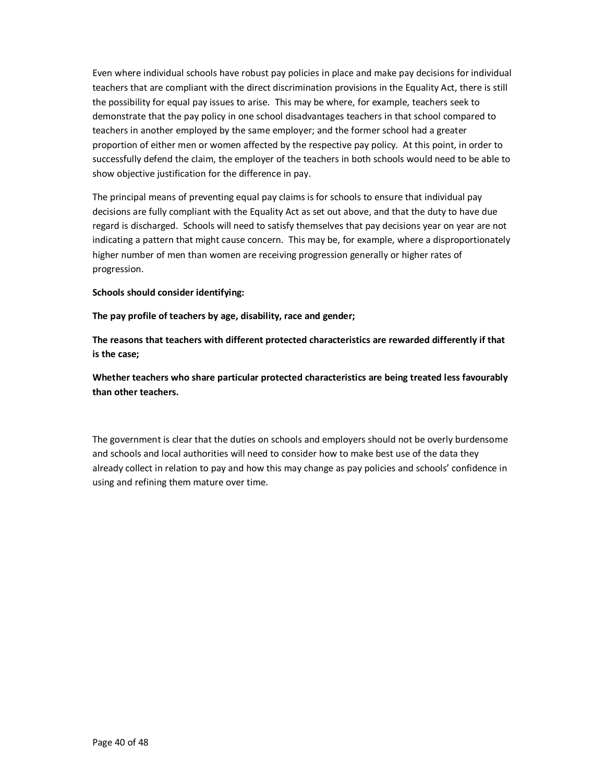Even where individual schools have robust pay policies in place and make pay decisions for individual teachers that are compliant with the direct discrimination provisions in the Equality Act, there is still the possibility for equal pay issues to arise. This may be where, for example, teachers seek to demonstrate that the pay policy in one school disadvantages teachers in that school compared to teachers in another employed by the same employer; and the former school had a greater proportion of either men or women affected by the respective pay policy. At this point, in order to successfully defend the claim, the employer of the teachers in both schools would need to be able to show objective justification for the difference in pay.

The principal means of preventing equal pay claims is for schools to ensure that individual pay decisions are fully compliant with the Equality Act as set out above, and that the duty to have due regard is discharged. Schools will need to satisfy themselves that pay decisions year on year are not indicating a pattern that might cause concern. This may be, for example, where a disproportionately higher number of men than women are receiving progression generally or higher rates of progression.

#### **Schools should consider identifying:**

**The pay profile of teachers by age, disability, race and gender;**

**The reasons that teachers with different protected characteristics are rewarded differently if that is the case;**

**Whether teachers who share particular protected characteristics are being treated less favourably than other teachers.**

The government is clear that the duties on schools and employers should not be overly burdensome and schools and local authorities will need to consider how to make best use of the data they already collect in relation to pay and how this may change as pay policies and schools' confidence in using and refining them mature over time.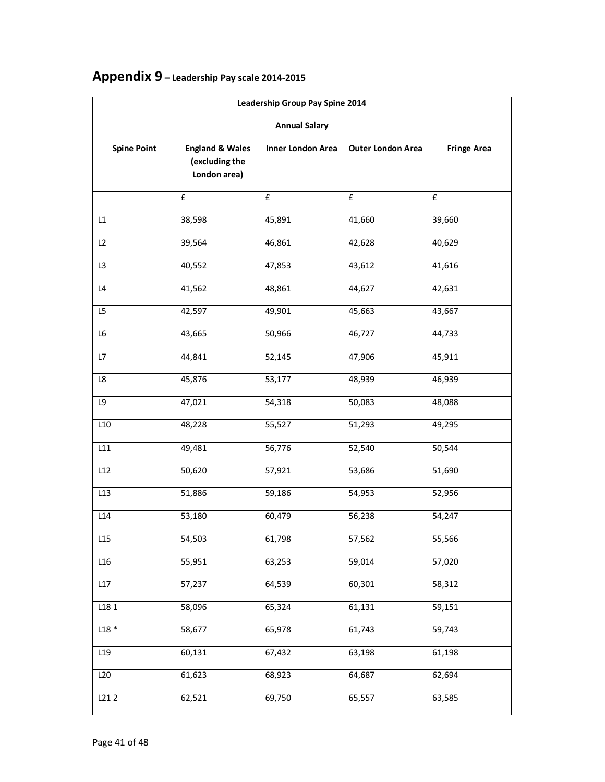| Leadership Group Pay Spine 2014 |                                                              |                          |                          |                    |
|---------------------------------|--------------------------------------------------------------|--------------------------|--------------------------|--------------------|
|                                 |                                                              | <b>Annual Salary</b>     |                          |                    |
| <b>Spine Point</b>              | <b>England &amp; Wales</b><br>(excluding the<br>London area) | <b>Inner London Area</b> | <b>Outer London Area</b> | <b>Fringe Area</b> |
|                                 | £                                                            | £                        | £                        | £                  |
| L1                              | 38,598                                                       | 45,891                   | 41,660                   | 39,660             |
| L2                              | 39,564                                                       | 46,861                   | 42,628                   | 40,629             |
| L3                              | 40,552                                                       | 47,853                   | 43,612                   | 41,616             |
| L4                              | 41,562                                                       | 48,861                   | 44,627                   | 42,631             |
| L5                              | 42,597                                                       | 49,901                   | 45,663                   | 43,667             |
| L6                              | 43,665                                                       | 50,966                   | 46,727                   | 44,733             |
| L7                              | 44,841                                                       | 52,145                   | 47,906                   | 45,911             |
| L8                              | 45,876                                                       | 53,177                   | 48,939                   | 46,939             |
| L9                              | 47,021                                                       | 54,318                   | 50,083                   | 48,088             |
| L10                             | 48,228                                                       | 55,527                   | 51,293                   | 49,295             |
| L11                             | 49,481                                                       | 56,776                   | 52,540                   | 50,544             |
| L12                             | 50,620                                                       | 57,921                   | 53,686                   | 51,690             |
| L13                             | 51,886                                                       | 59,186                   | 54,953                   | 52,956             |
| L14                             | 53,180                                                       | 60,479                   | 56,238                   | 54,247             |
| L15                             | 54,503                                                       | 61,798                   | 57,562                   | 55,566             |
| L16                             | 55,951                                                       | 63,253                   | 59,014                   | 57,020             |
| L17                             | 57,237                                                       | 64,539                   | 60,301                   | 58,312             |
| L18 1                           | 58,096                                                       | 65,324                   | 61,131                   | 59,151             |
| $L18*$                          | 58,677                                                       | 65,978                   | 61,743                   | 59,743             |
| L <sub>19</sub>                 | 60,131                                                       | 67,432                   | 63,198                   | 61,198             |
| L20                             | 61,623                                                       | 68,923                   | 64,687                   | 62,694             |
| L212                            | 62,521                                                       | 69,750                   | 65,557                   | 63,585             |

# **Appendix 9 – Leadership Pay scale 2014-2015**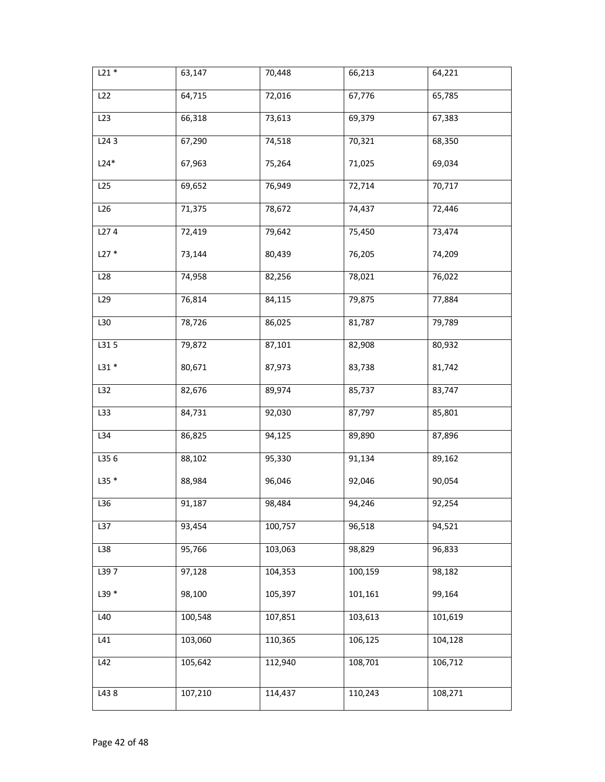| $L21*$          | 63,147  | 70,448  | 66,213  | 64,221  |
|-----------------|---------|---------|---------|---------|
| L22             | 64,715  | 72,016  | 67,776  | 65,785  |
| L23             | 66,318  | 73,613  | 69,379  | 67,383  |
| L243            | 67,290  | 74,518  | 70,321  | 68,350  |
| $L24*$          | 67,963  | 75,264  | 71,025  | 69,034  |
| L25             | 69,652  | 76,949  | 72,714  | 70,717  |
| L26             | 71,375  | 78,672  | 74,437  | 72,446  |
| L274            | 72,419  | 79,642  | 75,450  | 73,474  |
| $L27*$          | 73,144  | 80,439  | 76,205  | 74,209  |
| L28             | 74,958  | 82,256  | 78,021  | 76,022  |
| L <sub>29</sub> | 76,814  | 84,115  | 79,875  | 77,884  |
| L30             | 78,726  | 86,025  | 81,787  | 79,789  |
| L315            | 79,872  | 87,101  | 82,908  | 80,932  |
| $L31*$          | 80,671  | 87,973  | 83,738  | 81,742  |
| L32             | 82,676  | 89,974  | 85,737  | 83,747  |
| L33             | 84,731  | 92,030  | 87,797  | 85,801  |
| L34             | 86,825  | 94,125  | 89,890  | 87,896  |
| L35 6           | 88,102  | 95,330  | 91,134  | 89,162  |
| $L35*$          | 88,984  | 96,046  | 92,046  | 90,054  |
| L36             | 91,187  | 98,484  | 94,246  | 92,254  |
| L37             | 93,454  | 100,757 | 96,518  | 94,521  |
| L38             | 95,766  | 103,063 | 98,829  | 96,833  |
| L397            | 97,128  | 104,353 | 100,159 | 98,182  |
| $L39*$          | 98,100  | 105,397 | 101,161 | 99,164  |
| L40             | 100,548 | 107,851 | 103,613 | 101,619 |
| L41             | 103,060 | 110,365 | 106,125 | 104,128 |
| L42             | 105,642 | 112,940 | 108,701 | 106,712 |
| L438            | 107,210 | 114,437 | 110,243 | 108,271 |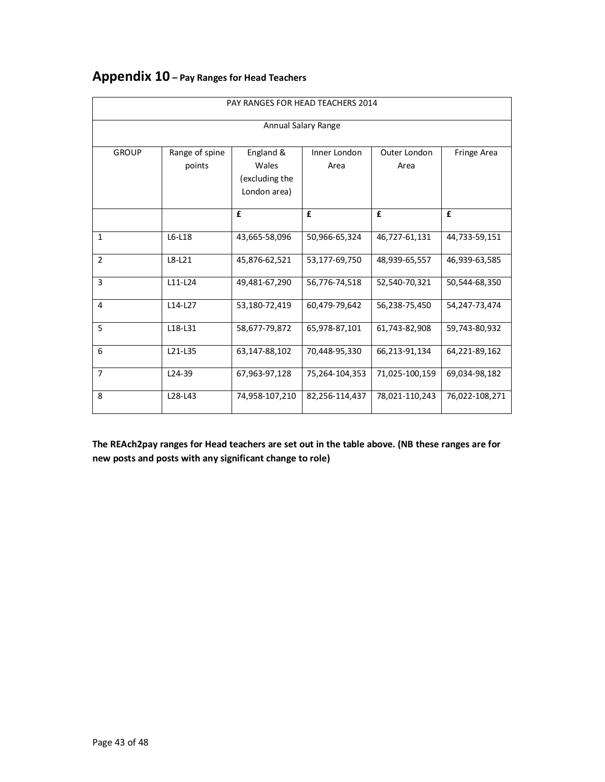# **Appendix 10 – Pay Ranges for Head Teachers**

| PAY RANGES FOR HEAD TEACHERS 2014 |                                  |                                                      |                      |                      |                |
|-----------------------------------|----------------------------------|------------------------------------------------------|----------------------|----------------------|----------------|
|                                   |                                  |                                                      | Annual Salary Range  |                      |                |
| <b>GROUP</b>                      | Range of spine<br>points         | England &<br>Wales<br>(excluding the<br>London area) | Inner London<br>Area | Outer London<br>Area | Fringe Area    |
|                                   |                                  | £                                                    | £                    | £                    | £              |
| 1                                 | $L6-L18$                         | 43,665-58,096                                        | 50,966-65,324        | 46,727-61,131        | 44,733-59,151  |
| $\overline{2}$                    | L8-L21                           | 45,876-62,521                                        | 53,177-69,750        | 48,939-65,557        | 46,939-63,585  |
| 3                                 | $L11-L24$                        | 49,481-67,290                                        | 56,776-74,518        | 52,540-70,321        | 50,544-68,350  |
| 4                                 | $L14-L27$                        | 53,180-72,419                                        | 60,479-79,642        | 56,238-75,450        | 54,247-73,474  |
| 5                                 | L18-L31                          | 58,677-79,872                                        | 65,978-87,101        | 61,743-82,908        | 59,743-80,932  |
| 6                                 | L21-L35                          | 63,147-88,102                                        | 70,448-95,330        | 66,213-91,134        | 64,221-89,162  |
| $\overline{7}$                    | L24-39                           | 67,963-97,128                                        | 75,264-104,353       | 71,025-100,159       | 69,034-98,182  |
| 8                                 | L <sub>28</sub> -L <sub>43</sub> | 74,958-107,210                                       | 82,256-114,437       | 78,021-110,243       | 76,022-108,271 |

**The REAch2pay ranges for Head teachers are set out in the table above. (NB these ranges are for new posts and posts with any significant change to role)**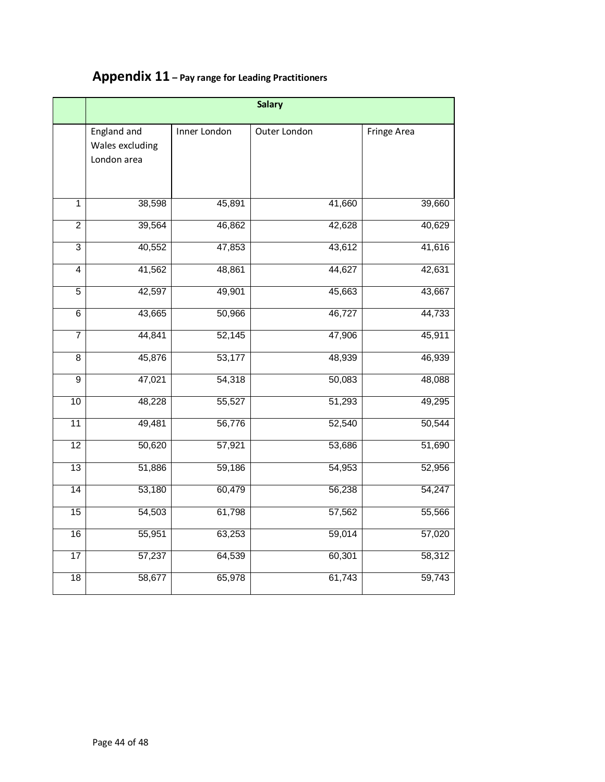# **Appendix 11 – Pay range for Leading Practitioners**

|                 | <b>Salary</b>                                 |              |              |             |  |
|-----------------|-----------------------------------------------|--------------|--------------|-------------|--|
|                 | England and<br>Wales excluding<br>London area | Inner London | Outer London | Fringe Area |  |
| 1               | 38,598                                        | 45,891       | 41,660       | 39,660      |  |
| $\overline{2}$  | 39,564                                        | 46,862       | 42,628       | 40,629      |  |
| $\overline{3}$  | 40,552                                        | 47,853       | 43,612       | 41,616      |  |
| $\overline{4}$  | 41,562                                        | 48,861       | 44,627       | 42,631      |  |
| $\overline{5}$  | 42,597                                        | 49,901       | 45,663       | 43,667      |  |
| $\overline{6}$  | 43,665                                        | 50,966       | 46,727       | 44,733      |  |
| 7               | 44,841                                        | 52,145       | 47,906       | 45,911      |  |
| $\overline{8}$  | 45,876                                        | 53,177       | 48,939       | 46,939      |  |
| 9               | 47,021                                        | 54,318       | 50,083       | 48,088      |  |
| 10              | 48,228                                        | 55,527       | 51,293       | 49,295      |  |
| $\overline{11}$ | 49,481                                        | 56,776       | 52,540       | 50,544      |  |
| 12              | 50,620                                        | 57,921       | 53,686       | 51,690      |  |
| 13              | 51,886                                        | 59,186       | 54,953       | 52,956      |  |
| 14              | 53,180                                        | 60,479       | 56,238       | 54,247      |  |
| 15              | 54,503                                        | 61,798       | 57,562       | 55,566      |  |
| 16              | 55,951                                        | 63,253       | 59,014       | 57,020      |  |
| 17              | 57,237                                        | 64,539       | 60,301       | 58,312      |  |
| 18              | 58,677                                        | 65,978       | 61,743       | 59,743      |  |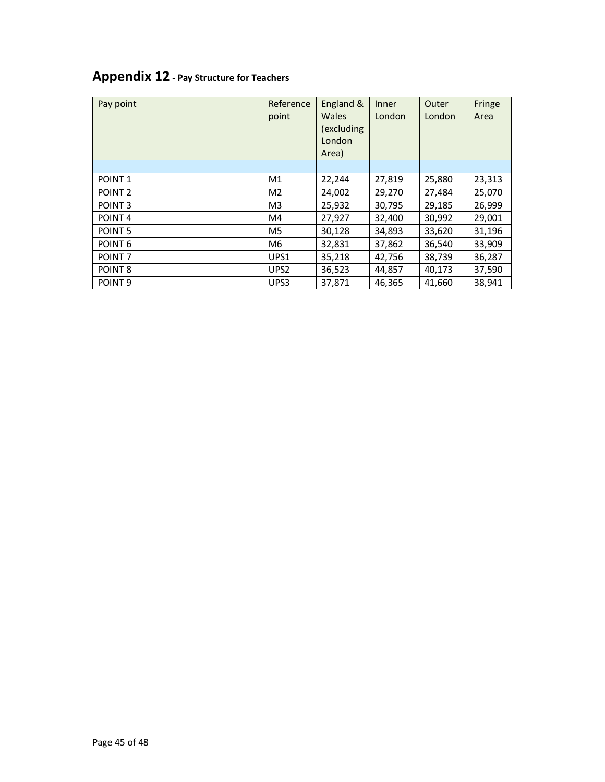# **Appendix 12 - Pay Structure for Teachers**

| Pay point          | Reference<br>point | England &<br><b>Wales</b><br>(excluding)<br>London<br>Area) | Inner<br>London | Outer<br>London | Fringe<br>Area |
|--------------------|--------------------|-------------------------------------------------------------|-----------------|-----------------|----------------|
|                    |                    |                                                             |                 |                 |                |
| POINT <sub>1</sub> | M1                 | 22,244                                                      | 27,819          | 25,880          | 23,313         |
| POINT <sub>2</sub> | M <sub>2</sub>     | 24,002                                                      | 29,270          | 27,484          | 25,070         |
| POINT <sub>3</sub> | M <sub>3</sub>     | 25,932                                                      | 30,795          | 29,185          | 26,999         |
| POINT <sub>4</sub> | M4                 | 27,927                                                      | 32,400          | 30,992          | 29,001         |
| POINT <sub>5</sub> | M <sub>5</sub>     | 30,128                                                      | 34,893          | 33,620          | 31,196         |
| POINT <sub>6</sub> | M <sub>6</sub>     | 32,831                                                      | 37,862          | 36,540          | 33,909         |
| POINT <sub>7</sub> | UPS1               | 35,218                                                      | 42,756          | 38,739          | 36,287         |
| POINT <sub>8</sub> | UPS <sub>2</sub>   | 36,523                                                      | 44,857          | 40,173          | 37,590         |
| POINT <sub>9</sub> | UPS3               | 37,871                                                      | 46.365          | 41.660          | 38,941         |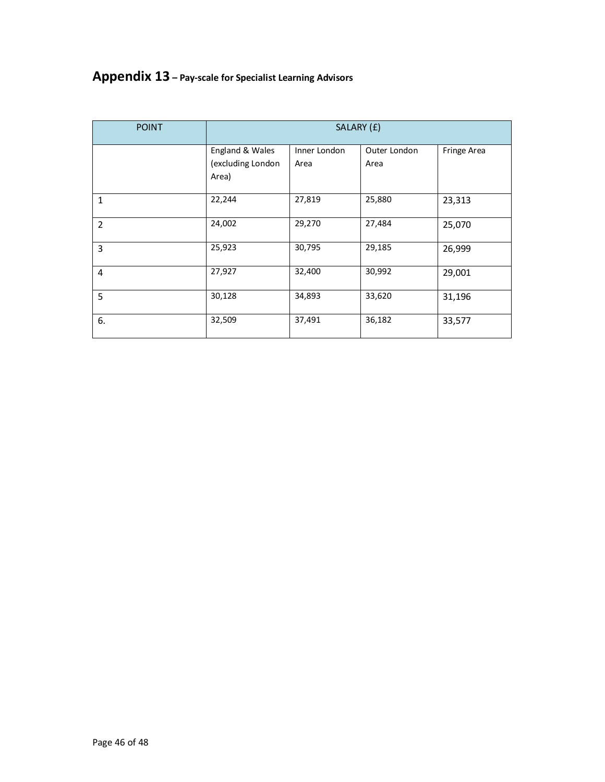# **Appendix 13 – Pay-scale for Specialist Learning Advisors**

| <b>POINT</b>   | SALARY (£)        |              |              |             |  |
|----------------|-------------------|--------------|--------------|-------------|--|
|                | England & Wales   | Inner London | Outer London | Fringe Area |  |
|                | (excluding London | Area         | Area         |             |  |
|                | Area)             |              |              |             |  |
| $\mathbf{1}$   | 22,244            | 27,819       | 25,880       | 23,313      |  |
| $\overline{2}$ | 24,002            | 29,270       | 27,484       | 25,070      |  |
| 3              | 25,923            | 30,795       | 29,185       | 26,999      |  |
| $\overline{4}$ | 27,927            | 32,400       | 30,992       | 29,001      |  |
| 5              | 30,128            | 34,893       | 33,620       | 31,196      |  |
| 6.             | 32,509            | 37,491       | 36,182       | 33,577      |  |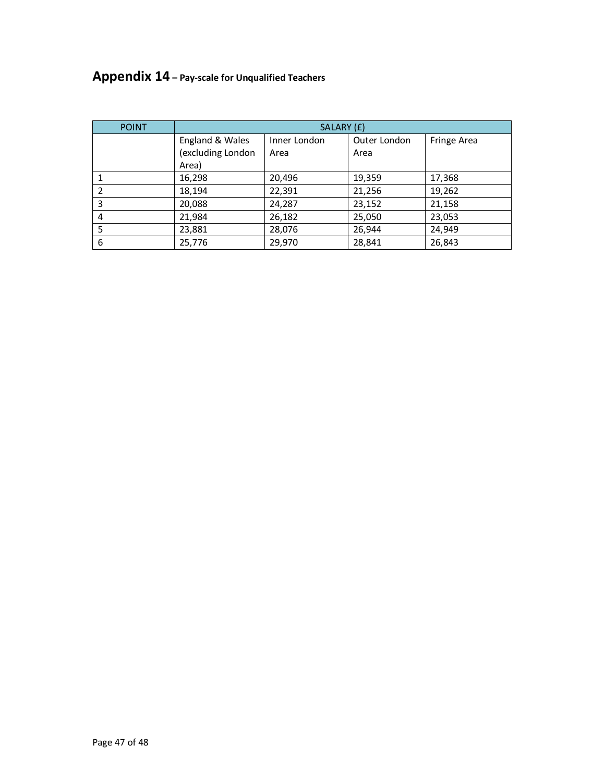# **Appendix 14 – Pay-scale for Unqualified Teachers**

| <b>POINT</b> | SALARY (£)        |              |              |             |  |
|--------------|-------------------|--------------|--------------|-------------|--|
|              | England & Wales   | Inner London | Outer London | Fringe Area |  |
|              | (excluding London | Area         | Area         |             |  |
|              | Area)             |              |              |             |  |
|              | 16,298            | 20,496       | 19,359       | 17,368      |  |
|              | 18,194            | 22,391       | 21,256       | 19,262      |  |
| 3            | 20,088            | 24,287       | 23,152       | 21,158      |  |
| 4            | 21,984            | 26,182       | 25,050       | 23,053      |  |
|              | 23,881            | 28,076       | 26,944       | 24,949      |  |
| 6            | 25,776            | 29,970       | 28,841       | 26,843      |  |